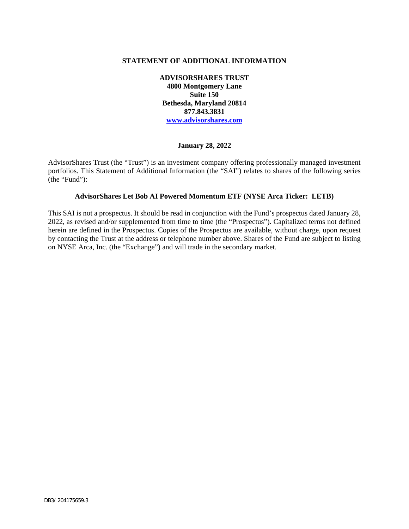### **STATEMENT OF ADDITIONAL INFORMATION**

**ADVISORSHARES TRUST 4800 Montgomery Lane Suite 150 Bethesda, Maryland 20814 877.843.3831 www.advisorshares.com**

#### **January 28, 2022**

AdvisorShares Trust (the "Trust") is an investment company offering professionally managed investment portfolios. This Statement of Additional Information (the "SAI") relates to shares of the following series (the "Fund"):

### **AdvisorShares Let Bob AI Powered Momentum ETF (NYSE Arca Ticker: LETB)**

This SAI is not a prospectus. It should be read in conjunction with the Fund's prospectus dated January 28, 2022, as revised and/or supplemented from time to time (the "Prospectus"). Capitalized terms not defined herein are defined in the Prospectus. Copies of the Prospectus are available, without charge, upon request by contacting the Trust at the address or telephone number above. Shares of the Fund are subject to listing on NYSE Arca, Inc. (the "Exchange") and will trade in the secondary market.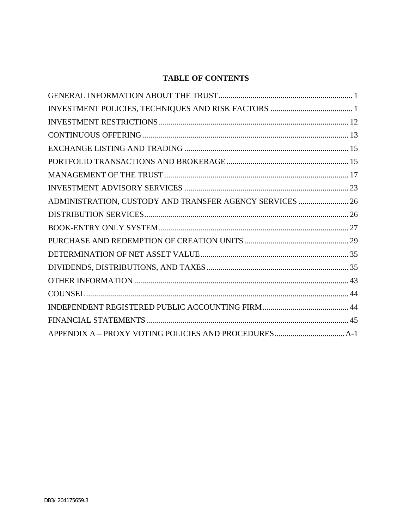# <span id="page-1-0"></span>**TABLE OF CONTENTS**

| ADMINISTRATION, CUSTODY AND TRANSFER AGENCY SERVICES  26 |  |
|----------------------------------------------------------|--|
|                                                          |  |
|                                                          |  |
|                                                          |  |
|                                                          |  |
|                                                          |  |
|                                                          |  |
|                                                          |  |
|                                                          |  |
|                                                          |  |
|                                                          |  |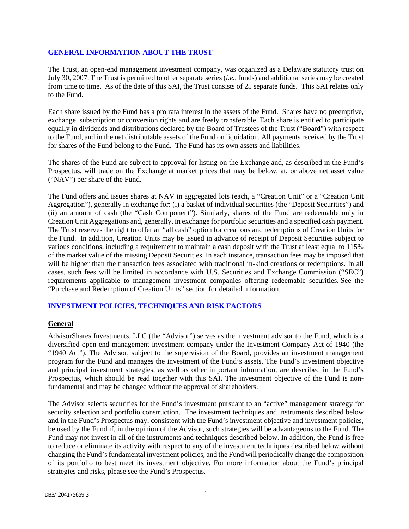### <span id="page-2-0"></span>**GENERAL INFORMATION ABOUT THE TRUST**

The Trust, an open-end management investment company, was organized as a Delaware statutory trust on July 30, 2007. The Trust is permitted to offer separate series (*i.e.,* funds) and additional series may be created from time to time. As of the date of this SAI, the Trust consists of 25 separate funds. This SAI relates only to the Fund.

Each share issued by the Fund has a pro rata interest in the assets of the Fund. Shares have no preemptive, exchange, subscription or conversion rights and are freely transferable. Each share is entitled to participate equally in dividends and distributions declared by the Board of Trustees of the Trust ("Board") with respect to the Fund, and in the net distributable assets of the Fund on liquidation. All payments received by the Trust for shares of the Fund belong to the Fund. The Fund has its own assets and liabilities.

The shares of the Fund are subject to approval for listing on the Exchange and, as described in the Fund's Prospectus, will trade on the Exchange at market prices that may be below, at, or above net asset value ("NAV") per share of the Fund.

The Fund offers and issues shares at NAV in aggregated lots (each, a "Creation Unit" or a "Creation Unit Aggregation"), generally in exchange for: (i) a basket of individual securities (the "Deposit Securities") and (ii) an amount of cash (the "Cash Component"). Similarly, shares of the Fund are redeemable only in Creation Unit Aggregations and, generally, in exchange for portfolio securities and a specified cash payment. The Trust reserves the right to offer an "all cash" option for creations and redemptions of Creation Units for the Fund. In addition, Creation Units may be issued in advance of receipt of Deposit Securities subject to various conditions, including a requirement to maintain a cash deposit with the Trust at least equal to 115% of the market value of the missing Deposit Securities. In each instance, transaction fees may be imposed that will be higher than the transaction fees associated with traditional in-kind creations or redemptions. In all cases, such fees will be limited in accordance with U.S. Securities and Exchange Commission ("SEC") requirements applicable to management investment companies offering redeemable securities. See the "Purchase and Redemption of Creation Units" section for detailed information.

### <span id="page-2-1"></span>**INVESTMENT POLICIES, TECHNIQUES AND RISK FACTORS**

#### **General**

AdvisorShares Investments, LLC (the "Advisor") serves as the investment advisor to the Fund, which is a diversified open-end management investment company under the Investment Company Act of 1940 (the "1940 Act"). The Advisor, subject to the supervision of the Board, provides an investment management program for the Fund and manages the investment of the Fund's assets. The Fund's investment objective and principal investment strategies, as well as other important information, are described in the Fund's Prospectus, which should be read together with this SAI. The investment objective of the Fund is nonfundamental and may be changed without the approval of shareholders.

The Advisor selects securities for the Fund's investment pursuant to an "active" management strategy for security selection and portfolio construction. The investment techniques and instruments described below and in the Fund's Prospectus may, consistent with the Fund's investment objective and investment policies, be used by the Fund if, in the opinion of the Advisor, such strategies will be advantageous to the Fund. The Fund may not invest in all of the instruments and techniques described below. In addition, the Fund is free to reduce or eliminate its activity with respect to any of the investment techniques described below without changing the Fund's fundamental investment policies, and the Fund will periodically change the composition of its portfolio to best meet its investment objective. For more information about the Fund's principal strategies and risks, please see the Fund's Prospectus.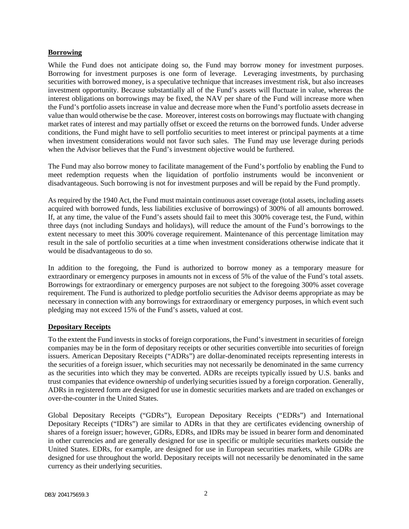#### **Borrowing**

While the Fund does not anticipate doing so, the Fund may borrow money for investment purposes. Borrowing for investment purposes is one form of leverage. Leveraging investments, by purchasing securities with borrowed money, is a speculative technique that increases investment risk, but also increases investment opportunity. Because substantially all of the Fund's assets will fluctuate in value, whereas the interest obligations on borrowings may be fixed, the NAV per share of the Fund will increase more when the Fund's portfolio assets increase in value and decrease more when the Fund's portfolio assets decrease in value than would otherwise be the case. Moreover, interest costs on borrowings may fluctuate with changing market rates of interest and may partially offset or exceed the returns on the borrowed funds. Under adverse conditions, the Fund might have to sell portfolio securities to meet interest or principal payments at a time when investment considerations would not favor such sales. The Fund may use leverage during periods when the Advisor believes that the Fund's investment objective would be furthered.

The Fund may also borrow money to facilitate management of the Fund's portfolio by enabling the Fund to meet redemption requests when the liquidation of portfolio instruments would be inconvenient or disadvantageous. Such borrowing is not for investment purposes and will be repaid by the Fund promptly.

As required by the 1940 Act, the Fund must maintain continuous asset coverage (total assets, including assets acquired with borrowed funds, less liabilities exclusive of borrowings) of 300% of all amounts borrowed. If, at any time, the value of the Fund's assets should fail to meet this 300% coverage test, the Fund, within three days (not including Sundays and holidays), will reduce the amount of the Fund's borrowings to the extent necessary to meet this 300% coverage requirement. Maintenance of this percentage limitation may result in the sale of portfolio securities at a time when investment considerations otherwise indicate that it would be disadvantageous to do so.

In addition to the foregoing, the Fund is authorized to borrow money as a temporary measure for extraordinary or emergency purposes in amounts not in excess of 5% of the value of the Fund's total assets. Borrowings for extraordinary or emergency purposes are not subject to the foregoing 300% asset coverage requirement. The Fund is authorized to pledge portfolio securities the Advisor deems appropriate as may be necessary in connection with any borrowings for extraordinary or emergency purposes, in which event such pledging may not exceed 15% of the Fund's assets, valued at cost.

### **Depositary Receipts**

To the extent the Fund invests in stocks of foreign corporations, the Fund's investment in securities of foreign companies may be in the form of depositary receipts or other securities convertible into securities of foreign issuers. American Depositary Receipts ("ADRs") are dollar-denominated receipts representing interests in the securities of a foreign issuer, which securities may not necessarily be denominated in the same currency as the securities into which they may be converted. ADRs are receipts typically issued by U.S. banks and trust companies that evidence ownership of underlying securities issued by a foreign corporation. Generally, ADRs in registered form are designed for use in domestic securities markets and are traded on exchanges or over-the-counter in the United States.

Global Depositary Receipts ("GDRs"), European Depositary Receipts ("EDRs") and International Depositary Receipts ("IDRs") are similar to ADRs in that they are certificates evidencing ownership of shares of a foreign issuer; however, GDRs, EDRs, and IDRs may be issued in bearer form and denominated in other currencies and are generally designed for use in specific or multiple securities markets outside the United States. EDRs, for example, are designed for use in European securities markets, while GDRs are designed for use throughout the world. Depositary receipts will not necessarily be denominated in the same currency as their underlying securities.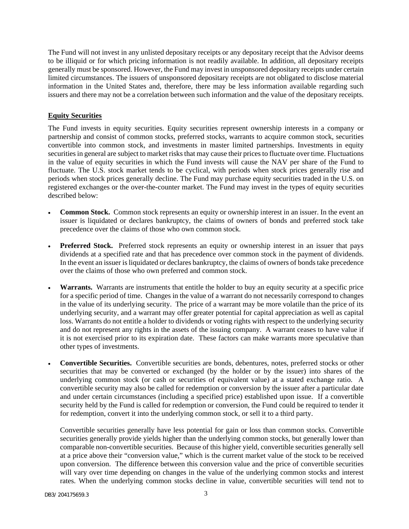The Fund will not invest in any unlisted depositary receipts or any depositary receipt that the Advisor deems to be illiquid or for which pricing information is not readily available. In addition, all depositary receipts generally must be sponsored. However, the Fund may invest in unsponsored depositary receipts under certain limited circumstances. The issuers of unsponsored depositary receipts are not obligated to disclose material information in the United States and, therefore, there may be less information available regarding such issuers and there may not be a correlation between such information and the value of the depositary receipts.

# **Equity Securities**

The Fund invests in equity securities. Equity securities represent ownership interests in a company or partnership and consist of common stocks, preferred stocks, warrants to acquire common stock, securities convertible into common stock, and investments in master limited partnerships. Investments in equity securities in general are subject to market risks that may cause their prices to fluctuate over time. Fluctuations in the value of equity securities in which the Fund invests will cause the NAV per share of the Fund to fluctuate. The U.S. stock market tends to be cyclical, with periods when stock prices generally rise and periods when stock prices generally decline. The Fund may purchase equity securities traded in the U.S. on registered exchanges or the over-the-counter market. The Fund may invest in the types of equity securities described below:

- **Common Stock.** Common stock represents an equity or ownership interest in an issuer. In the event an issuer is liquidated or declares bankruptcy, the claims of owners of bonds and preferred stock take precedence over the claims of those who own common stock.
- **Preferred Stock.** Preferred stock represents an equity or ownership interest in an issuer that pays dividends at a specified rate and that has precedence over common stock in the payment of dividends. In the event an issuer is liquidated or declares bankruptcy, the claims of owners of bonds take precedence over the claims of those who own preferred and common stock.
- **Warrants.** Warrants are instruments that entitle the holder to buy an equity security at a specific price for a specific period of time. Changes in the value of a warrant do not necessarily correspond to changes in the value of its underlying security. The price of a warrant may be more volatile than the price of its underlying security, and a warrant may offer greater potential for capital appreciation as well as capital loss. Warrants do not entitle a holder to dividends or voting rights with respect to the underlying security and do not represent any rights in the assets of the issuing company. A warrant ceases to have value if it is not exercised prior to its expiration date. These factors can make warrants more speculative than other types of investments.
- **Convertible Securities.** Convertible securities are bonds, debentures, notes, preferred stocks or other securities that may be converted or exchanged (by the holder or by the issuer) into shares of the underlying common stock (or cash or securities of equivalent value) at a stated exchange ratio. A convertible security may also be called for redemption or conversion by the issuer after a particular date and under certain circumstances (including a specified price) established upon issue. If a convertible security held by the Fund is called for redemption or conversion, the Fund could be required to tender it for redemption, convert it into the underlying common stock, or sell it to a third party.

Convertible securities generally have less potential for gain or loss than common stocks. Convertible securities generally provide yields higher than the underlying common stocks, but generally lower than comparable non-convertible securities. Because of this higher yield, convertible securities generally sell at a price above their "conversion value," which is the current market value of the stock to be received upon conversion. The difference between this conversion value and the price of convertible securities will vary over time depending on changes in the value of the underlying common stocks and interest rates. When the underlying common stocks decline in value, convertible securities will tend not to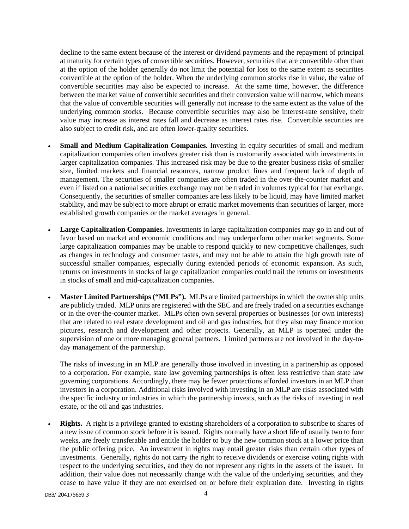decline to the same extent because of the interest or dividend payments and the repayment of principal at maturity for certain types of convertible securities. However, securities that are convertible other than at the option of the holder generally do not limit the potential for loss to the same extent as securities convertible at the option of the holder. When the underlying common stocks rise in value, the value of convertible securities may also be expected to increase. At the same time, however, the difference between the market value of convertible securities and their conversion value will narrow, which means that the value of convertible securities will generally not increase to the same extent as the value of the underlying common stocks. Because convertible securities may also be interest-rate sensitive, their value may increase as interest rates fall and decrease as interest rates rise. Convertible securities are also subject to credit risk, and are often lower-quality securities.

- **Small and Medium Capitalization Companies.** Investing in equity securities of small and medium capitalization companies often involves greater risk than is customarily associated with investments in larger capitalization companies. This increased risk may be due to the greater business risks of smaller size, limited markets and financial resources, narrow product lines and frequent lack of depth of management. The securities of smaller companies are often traded in the over-the-counter market and even if listed on a national securities exchange may not be traded in volumes typical for that exchange. Consequently, the securities of smaller companies are less likely to be liquid, may have limited market stability, and may be subject to more abrupt or erratic market movements than securities of larger, more established growth companies or the market averages in general.
- **Large Capitalization Companies.** Investments in large capitalization companies may go in and out of favor based on market and economic conditions and may underperform other market segments. Some large capitalization companies may be unable to respond quickly to new competitive challenges, such as changes in technology and consumer tastes, and may not be able to attain the high growth rate of successful smaller companies, especially during extended periods of economic expansion. As such, returns on investments in stocks of large capitalization companies could trail the returns on investments in stocks of small and mid-capitalization companies.
- **Master Limited Partnerships ("MLPs").** MLPs are limited partnerships in which the ownership units are publicly traded. MLP units are registered with the SEC and are freely traded on a securities exchange or in the over-the-counter market. MLPs often own several properties or businesses (or own interests) that are related to real estate development and oil and gas industries, but they also may finance motion pictures, research and development and other projects. Generally, an MLP is operated under the supervision of one or more managing general partners. Limited partners are not involved in the day-today management of the partnership.

The risks of investing in an MLP are generally those involved in investing in a partnership as opposed to a corporation. For example, state law governing partnerships is often less restrictive than state law governing corporations. Accordingly, there may be fewer protections afforded investors in an MLP than investors in a corporation. Additional risks involved with investing in an MLP are risks associated with the specific industry or industries in which the partnership invests, such as the risks of investing in real estate, or the oil and gas industries.

**Rights.** A right is a privilege granted to existing shareholders of a corporation to subscribe to shares of a new issue of common stock before it is issued. Rights normally have a short life of usually two to four weeks, are freely transferable and entitle the holder to buy the new common stock at a lower price than the public offering price. An investment in rights may entail greater risks than certain other types of investments. Generally, rights do not carry the right to receive dividends or exercise voting rights with respect to the underlying securities, and they do not represent any rights in the assets of the issuer. In addition, their value does not necessarily change with the value of the underlying securities, and they cease to have value if they are not exercised on or before their expiration date. Investing in rights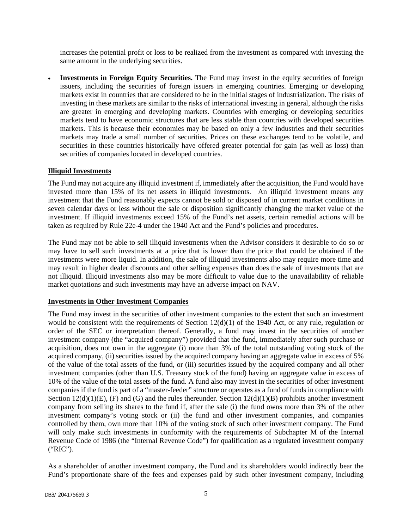increases the potential profit or loss to be realized from the investment as compared with investing the same amount in the underlying securities.

• **Investments in Foreign Equity Securities.** The Fund may invest in the equity securities of foreign issuers, including the securities of foreign issuers in emerging countries. Emerging or developing markets exist in countries that are considered to be in the initial stages of industrialization. The risks of investing in these markets are similar to the risks of international investing in general, although the risks are greater in emerging and developing markets. Countries with emerging or developing securities markets tend to have economic structures that are less stable than countries with developed securities markets. This is because their economies may be based on only a few industries and their securities markets may trade a small number of securities. Prices on these exchanges tend to be volatile, and securities in these countries historically have offered greater potential for gain (as well as loss) than securities of companies located in developed countries.

### **Illiquid Investments**

The Fund may not acquire any illiquid investment if, immediately after the acquisition, the Fund would have invested more than 15% of its net assets in illiquid investments. An illiquid investment means any investment that the Fund reasonably expects cannot be sold or disposed of in current market conditions in seven calendar days or less without the sale or disposition significantly changing the market value of the investment. If illiquid investments exceed 15% of the Fund's net assets, certain remedial actions will be taken as required by Rule 22e-4 under the 1940 Act and the Fund's policies and procedures.

The Fund may not be able to sell illiquid investments when the Advisor considers it desirable to do so or may have to sell such investments at a price that is lower than the price that could be obtained if the investments were more liquid. In addition, the sale of illiquid investments also may require more time and may result in higher dealer discounts and other selling expenses than does the sale of investments that are not illiquid. Illiquid investments also may be more difficult to value due to the unavailability of reliable market quotations and such investments may have an adverse impact on NAV.

### **Investments in Other Investment Companies**

The Fund may invest in the securities of other investment companies to the extent that such an investment would be consistent with the requirements of Section 12(d)(1) of the 1940 Act, or any rule, regulation or order of the SEC or interpretation thereof. Generally, a fund may invest in the securities of another investment company (the "acquired company") provided that the fund, immediately after such purchase or acquisition, does not own in the aggregate (i) more than 3% of the total outstanding voting stock of the acquired company, (ii) securities issued by the acquired company having an aggregate value in excess of 5% of the value of the total assets of the fund, or (iii) securities issued by the acquired company and all other investment companies (other than U.S. Treasury stock of the fund) having an aggregate value in excess of 10% of the value of the total assets of the fund. A fund also may invest in the securities of other investment companies if the fund is part of a "master-feeder" structure or operates as a fund of funds in compliance with Section  $12(d)(1)(E)$ , (F) and (G) and the rules thereunder. Section  $12(d)(1)(B)$  prohibits another investment company from selling its shares to the fund if, after the sale (i) the fund owns more than 3% of the other investment company's voting stock or (ii) the fund and other investment companies, and companies controlled by them, own more than 10% of the voting stock of such other investment company. The Fund will only make such investments in conformity with the requirements of Subchapter M of the Internal Revenue Code of 1986 (the "Internal Revenue Code") for qualification as a regulated investment company ("RIC").

As a shareholder of another investment company, the Fund and its shareholders would indirectly bear the Fund's proportionate share of the fees and expenses paid by such other investment company, including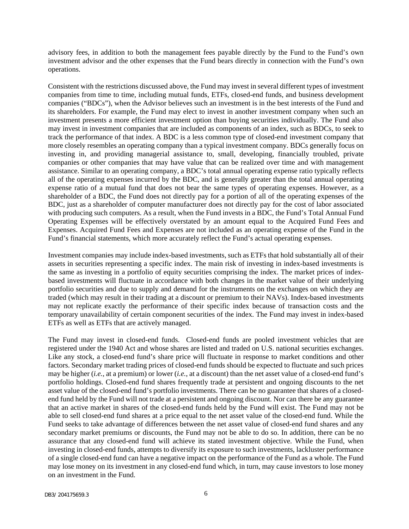advisory fees, in addition to both the management fees payable directly by the Fund to the Fund's own investment advisor and the other expenses that the Fund bears directly in connection with the Fund's own operations.

Consistent with the restrictions discussed above, the Fund may invest in several different types of investment companies from time to time, including mutual funds, ETFs, closed-end funds, and business development companies ("BDCs"), when the Advisor believes such an investment is in the best interests of the Fund and its shareholders. For example, the Fund may elect to invest in another investment company when such an investment presents a more efficient investment option than buying securities individually. The Fund also may invest in investment companies that are included as components of an index, such as BDCs, to seek to track the performance of that index. A BDC is a less common type of closed-end investment company that more closely resembles an operating company than a typical investment company. BDCs generally focus on investing in, and providing managerial assistance to, small, developing, financially troubled, private companies or other companies that may have value that can be realized over time and with management assistance. Similar to an operating company, a BDC's total annual operating expense ratio typically reflects all of the operating expenses incurred by the BDC, and is generally greater than the total annual operating expense ratio of a mutual fund that does not bear the same types of operating expenses. However, as a shareholder of a BDC, the Fund does not directly pay for a portion of all of the operating expenses of the BDC, just as a shareholder of computer manufacturer does not directly pay for the cost of labor associated with producing such computers. As a result, when the Fund invests in a BDC, the Fund's Total Annual Fund Operating Expenses will be effectively overstated by an amount equal to the Acquired Fund Fees and Expenses. Acquired Fund Fees and Expenses are not included as an operating expense of the Fund in the Fund's financial statements, which more accurately reflect the Fund's actual operating expenses.

Investment companies may include index-based investments, such as ETFs that hold substantially all of their assets in securities representing a specific index. The main risk of investing in index-based investments is the same as investing in a portfolio of equity securities comprising the index. The market prices of indexbased investments will fluctuate in accordance with both changes in the market value of their underlying portfolio securities and due to supply and demand for the instruments on the exchanges on which they are traded (which may result in their trading at a discount or premium to their NAVs). Index-based investments may not replicate exactly the performance of their specific index because of transaction costs and the temporary unavailability of certain component securities of the index. The Fund may invest in index-based ETFs as well as ETFs that are actively managed.

The Fund may invest in closed-end funds. Closed-end funds are pooled investment vehicles that are registered under the 1940 Act and whose shares are listed and traded on U.S. national securities exchanges. Like any stock, a closed-end fund's share price will fluctuate in response to market conditions and other factors. Secondary market trading prices of closed-end funds should be expected to fluctuate and such prices may be higher (*i.e.*, at a premium) or lower (*i.e.*, at a discount) than the net asset value of a closed-end fund's portfolio holdings. Closed-end fund shares frequently trade at persistent and ongoing discounts to the net asset value of the closed-end fund's portfolio investments. There can be no guarantee that shares of a closedend fund held by the Fund will not trade at a persistent and ongoing discount. Nor can there be any guarantee that an active market in shares of the closed-end funds held by the Fund will exist. The Fund may not be able to sell closed-end fund shares at a price equal to the net asset value of the closed-end fund. While the Fund seeks to take advantage of differences between the net asset value of closed-end fund shares and any secondary market premiums or discounts, the Fund may not be able to do so. In addition, there can be no assurance that any closed-end fund will achieve its stated investment objective. While the Fund, when investing in closed-end funds, attempts to diversify its exposure to such investments, lackluster performance of a single closed-end fund can have a negative impact on the performance of the Fund as a whole. The Fund may lose money on its investment in any closed-end fund which, in turn, may cause investors to lose money on an investment in the Fund.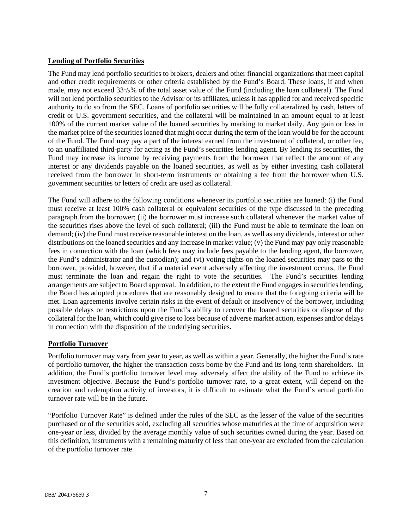### **Lending of Portfolio Securities**

The Fund may lend portfolio securities to brokers, dealers and other financial organizations that meet capital and other credit requirements or other criteria established by the Fund's Board. These loans, if and when made, may not exceed  $33<sup>1</sup>/3%$  of the total asset value of the Fund (including the loan collateral). The Fund will not lend portfolio securities to the Advisor or its affiliates, unless it has applied for and received specific authority to do so from the SEC. Loans of portfolio securities will be fully collateralized by cash, letters of credit or U.S. government securities, and the collateral will be maintained in an amount equal to at least 100% of the current market value of the loaned securities by marking to market daily. Any gain or loss in the market price of the securities loaned that might occur during the term of the loan would be for the account of the Fund. The Fund may pay a part of the interest earned from the investment of collateral, or other fee, to an unaffiliated third-party for acting as the Fund's securities lending agent. By lending its securities, the Fund may increase its income by receiving payments from the borrower that reflect the amount of any interest or any dividends payable on the loaned securities, as well as by either investing cash collateral received from the borrower in short-term instruments or obtaining a fee from the borrower when U.S. government securities or letters of credit are used as collateral.

The Fund will adhere to the following conditions whenever its portfolio securities are loaned: (i) the Fund must receive at least 100% cash collateral or equivalent securities of the type discussed in the preceding paragraph from the borrower; (ii) the borrower must increase such collateral whenever the market value of the securities rises above the level of such collateral; (iii) the Fund must be able to terminate the loan on demand; (iv) the Fund must receive reasonable interest on the loan, as well as any dividends, interest or other distributions on the loaned securities and any increase in market value; (v) the Fund may pay only reasonable fees in connection with the loan (which fees may include fees payable to the lending agent, the borrower, the Fund's administrator and the custodian); and (vi) voting rights on the loaned securities may pass to the borrower, provided, however, that if a material event adversely affecting the investment occurs, the Fund must terminate the loan and regain the right to vote the securities. The Fund's securities lending arrangements are subject to Board approval. In addition, to the extent the Fund engages in securities lending, the Board has adopted procedures that are reasonably designed to ensure that the foregoing criteria will be met. Loan agreements involve certain risks in the event of default or insolvency of the borrower, including possible delays or restrictions upon the Fund's ability to recover the loaned securities or dispose of the collateral for the loan, which could give rise to loss because of adverse market action, expenses and/or delays in connection with the disposition of the underlying securities.

# **Portfolio Turnover**

Portfolio turnover may vary from year to year, as well as within a year. Generally, the higher the Fund's rate of portfolio turnover, the higher the transaction costs borne by the Fund and its long-term shareholders. In addition, the Fund's portfolio turnover level may adversely affect the ability of the Fund to achieve its investment objective. Because the Fund's portfolio turnover rate, to a great extent, will depend on the creation and redemption activity of investors, it is difficult to estimate what the Fund's actual portfolio turnover rate will be in the future.

"Portfolio Turnover Rate" is defined under the rules of the SEC as the lesser of the value of the securities purchased or of the securities sold, excluding all securities whose maturities at the time of acquisition were one-year or less, divided by the average monthly value of such securities owned during the year. Based on this definition, instruments with a remaining maturity of less than one-year are excluded from the calculation of the portfolio turnover rate.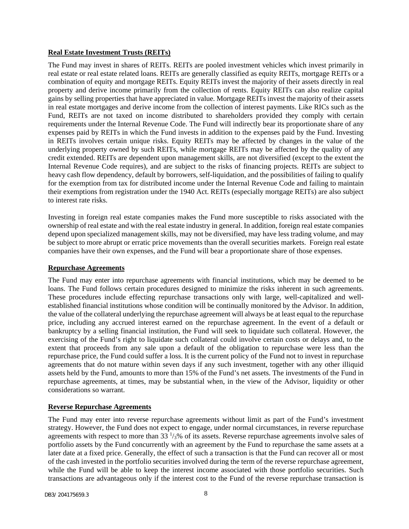### **Real Estate Investment Trusts (REITs)**

The Fund may invest in shares of REITs. REITs are pooled investment vehicles which invest primarily in real estate or real estate related loans. REITs are generally classified as equity REITs, mortgage REITs or a combination of equity and mortgage REITs. Equity REITs invest the majority of their assets directly in real property and derive income primarily from the collection of rents. Equity REITs can also realize capital gains by selling properties that have appreciated in value. Mortgage REITs invest the majority of their assets in real estate mortgages and derive income from the collection of interest payments. Like RICs such as the Fund, REITs are not taxed on income distributed to shareholders provided they comply with certain requirements under the Internal Revenue Code. The Fund will indirectly bear its proportionate share of any expenses paid by REITs in which the Fund invests in addition to the expenses paid by the Fund. Investing in REITs involves certain unique risks. Equity REITs may be affected by changes in the value of the underlying property owned by such REITs, while mortgage REITs may be affected by the quality of any credit extended. REITs are dependent upon management skills, are not diversified (except to the extent the Internal Revenue Code requires), and are subject to the risks of financing projects. REITs are subject to heavy cash flow dependency, default by borrowers, self-liquidation, and the possibilities of failing to qualify for the exemption from tax for distributed income under the Internal Revenue Code and failing to maintain their exemptions from registration under the 1940 Act. REITs (especially mortgage REITs) are also subject to interest rate risks.

Investing in foreign real estate companies makes the Fund more susceptible to risks associated with the ownership of real estate and with the real estate industry in general. In addition, foreign real estate companies depend upon specialized management skills, may not be diversified, may have less trading volume, and may be subject to more abrupt or erratic price movements than the overall securities markets. Foreign real estate companies have their own expenses, and the Fund will bear a proportionate share of those expenses.

### **Repurchase Agreements**

The Fund may enter into repurchase agreements with financial institutions, which may be deemed to be loans. The Fund follows certain procedures designed to minimize the risks inherent in such agreements. These procedures include effecting repurchase transactions only with large, well-capitalized and wellestablished financial institutions whose condition will be continually monitored by the Advisor. In addition, the value of the collateral underlying the repurchase agreement will always be at least equal to the repurchase price, including any accrued interest earned on the repurchase agreement. In the event of a default or bankruptcy by a selling financial institution, the Fund will seek to liquidate such collateral. However, the exercising of the Fund's right to liquidate such collateral could involve certain costs or delays and, to the extent that proceeds from any sale upon a default of the obligation to repurchase were less than the repurchase price, the Fund could suffer a loss. It is the current policy of the Fund not to invest in repurchase agreements that do not mature within seven days if any such investment, together with any other illiquid assets held by the Fund, amounts to more than 15% of the Fund's net assets. The investments of the Fund in repurchase agreements, at times, may be substantial when, in the view of the Advisor, liquidity or other considerations so warrant.

### **Reverse Repurchase Agreements**

The Fund may enter into reverse repurchase agreements without limit as part of the Fund's investment strategy. However, the Fund does not expect to engage, under normal circumstances, in reverse repurchase agreements with respect to more than 33  $\frac{1}{3}$ % of its assets. Reverse repurchase agreements involve sales of portfolio assets by the Fund concurrently with an agreement by the Fund to repurchase the same assets at a later date at a fixed price. Generally, the effect of such a transaction is that the Fund can recover all or most of the cash invested in the portfolio securities involved during the term of the reverse repurchase agreement, while the Fund will be able to keep the interest income associated with those portfolio securities. Such transactions are advantageous only if the interest cost to the Fund of the reverse repurchase transaction is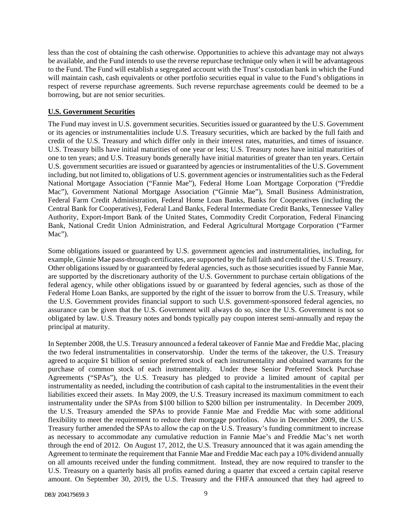less than the cost of obtaining the cash otherwise. Opportunities to achieve this advantage may not always be available, and the Fund intends to use the reverse repurchase technique only when it will be advantageous to the Fund. The Fund will establish a segregated account with the Trust's custodian bank in which the Fund will maintain cash, cash equivalents or other portfolio securities equal in value to the Fund's obligations in respect of reverse repurchase agreements. Such reverse repurchase agreements could be deemed to be a borrowing, but are not senior securities.

### **U.S. Government Securities**

The Fund may invest in U.S. government securities. Securities issued or guaranteed by the U.S. Government or its agencies or instrumentalities include U.S. Treasury securities, which are backed by the full faith and credit of the U.S. Treasury and which differ only in their interest rates, maturities, and times of issuance. U.S. Treasury bills have initial maturities of one year or less; U.S. Treasury notes have initial maturities of one to ten years; and U.S. Treasury bonds generally have initial maturities of greater than ten years. Certain U.S. government securities are issued or guaranteed by agencies or instrumentalities of the U.S. Government including, but not limited to, obligations of U.S. government agencies or instrumentalities such as the Federal National Mortgage Association ("Fannie Mae"), Federal Home Loan Mortgage Corporation ("Freddie Mac"), Government National Mortgage Association ("Ginnie Mae"), Small Business Administration, Federal Farm Credit Administration, Federal Home Loan Banks, Banks for Cooperatives (including the Central Bank for Cooperatives), Federal Land Banks, Federal Intermediate Credit Banks, Tennessee Valley Authority, Export-Import Bank of the United States, Commodity Credit Corporation, Federal Financing Bank, National Credit Union Administration, and Federal Agricultural Mortgage Corporation ("Farmer Mac").

Some obligations issued or guaranteed by U.S. government agencies and instrumentalities, including, for example, Ginnie Mae pass-through certificates, are supported by the full faith and credit of the U.S. Treasury. Other obligations issued by or guaranteed by federal agencies, such as those securities issued by Fannie Mae, are supported by the discretionary authority of the U.S. Government to purchase certain obligations of the federal agency, while other obligations issued by or guaranteed by federal agencies, such as those of the Federal Home Loan Banks, are supported by the right of the issuer to borrow from the U.S. Treasury, while the U.S. Government provides financial support to such U.S. government-sponsored federal agencies, no assurance can be given that the U.S. Government will always do so, since the U.S. Government is not so obligated by law. U.S. Treasury notes and bonds typically pay coupon interest semi-annually and repay the principal at maturity.

In September 2008, the U.S. Treasury announced a federal takeover of Fannie Mae and Freddie Mac, placing the two federal instrumentalities in conservatorship. Under the terms of the takeover, the U.S. Treasury agreed to acquire \$1 billion of senior preferred stock of each instrumentality and obtained warrants for the purchase of common stock of each instrumentality. Under these Senior Preferred Stock Purchase Agreements ("SPAs"), the U.S. Treasury has pledged to provide a limited amount of capital per instrumentality as needed, including the contribution of cash capital to the instrumentalities in the event their liabilities exceed their assets. In May 2009, the U.S. Treasury increased its maximum commitment to each instrumentality under the SPAs from \$100 billion to \$200 billion per instrumentality. In December 2009, the U.S. Treasury amended the SPAs to provide Fannie Mae and Freddie Mac with some additional flexibility to meet the requirement to reduce their mortgage portfolios. Also in December 2009, the U.S. Treasury further amended the SPAs to allow the cap on the U.S. Treasury's funding commitment to increase as necessary to accommodate any cumulative reduction in Fannie Mae's and Freddie Mac's net worth through the end of 2012. On August 17, 2012, the U.S. Treasury announced that it was again amending the Agreement to terminate the requirement that Fannie Mae and Freddie Mac each pay a 10% dividend annually on all amounts received under the funding commitment. Instead, they are now required to transfer to the U.S. Treasury on a quarterly basis all profits earned during a quarter that exceed a certain capital reserve amount. On September 30, 2019, the U.S. Treasury and the FHFA announced that they had agreed to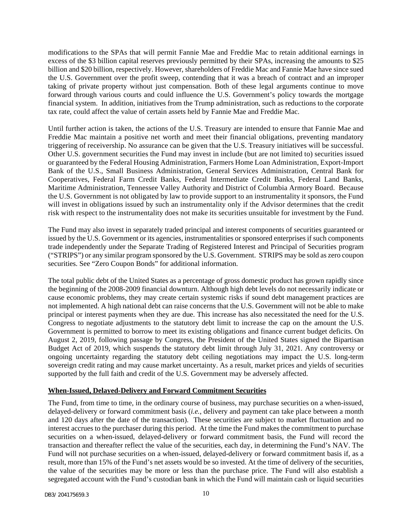modifications to the SPAs that will permit Fannie Mae and Freddie Mac to retain additional earnings in excess of the \$3 billion capital reserves previously permitted by their SPAs, increasing the amounts to \$25 billion and \$20 billion, respectively. However, shareholders of Freddie Mac and Fannie Mae have since sued the U.S. Government over the profit sweep, contending that it was a breach of contract and an improper taking of private property without just compensation. Both of these legal arguments continue to move forward through various courts and could influence the U.S. Government's policy towards the mortgage financial system. In addition, initiatives from the Trump administration, such as reductions to the corporate tax rate, could affect the value of certain assets held by Fannie Mae and Freddie Mac.

Until further action is taken, the actions of the U.S. Treasury are intended to ensure that Fannie Mae and Freddie Mac maintain a positive net worth and meet their financial obligations, preventing mandatory triggering of receivership. No assurance can be given that the U.S. Treasury initiatives will be successful. Other U.S. government securities the Fund may invest in include (but are not limited to) securities issued or guaranteed by the Federal Housing Administration, Farmers Home Loan Administration, Export-Import Bank of the U.S., Small Business Administration, General Services Administration, Central Bank for Cooperatives, Federal Farm Credit Banks, Federal Intermediate Credit Banks, Federal Land Banks, Maritime Administration, Tennessee Valley Authority and District of Columbia Armory Board. Because the U.S. Government is not obligated by law to provide support to an instrumentality it sponsors, the Fund will invest in obligations issued by such an instrumentality only if the Advisor determines that the credit risk with respect to the instrumentality does not make its securities unsuitable for investment by the Fund.

The Fund may also invest in separately traded principal and interest components of securities guaranteed or issued by the U.S. Government or its agencies, instrumentalities or sponsored enterprises if such components trade independently under the Separate Trading of Registered Interest and Principal of Securities program ("STRIPS") or any similar program sponsored by the U.S. Government. STRIPS may be sold as zero coupon securities. See "Zero Coupon Bonds" for additional information.

The total public debt of the United States as a percentage of gross domestic product has grown rapidly since the beginning of the 2008-2009 financial downturn. Although high debt levels do not necessarily indicate or cause economic problems, they may create certain systemic risks if sound debt management practices are not implemented. A high national debt can raise concerns that the U.S. Government will not be able to make principal or interest payments when they are due. This increase has also necessitated the need for the U.S. Congress to negotiate adjustments to the statutory debt limit to increase the cap on the amount the U.S. Government is permitted to borrow to meet its existing obligations and finance current budget deficits. On August 2, 2019, following passage by Congress, the President of the United States signed the Bipartisan Budget Act of 2019, which suspends the statutory debt limit through July 31, 2021. Any controversy or ongoing uncertainty regarding the statutory debt ceiling negotiations may impact the U.S. long-term sovereign credit rating and may cause market uncertainty. As a result, market prices and yields of securities supported by the full faith and credit of the U.S. Government may be adversely affected.

### **When-Issued, Delayed-Delivery and Forward Commitment Securities**

The Fund, from time to time, in the ordinary course of business, may purchase securities on a when-issued, delayed-delivery or forward commitment basis (*i.e.*, delivery and payment can take place between a month and 120 days after the date of the transaction). These securities are subject to market fluctuation and no interest accrues to the purchaser during this period. At the time the Fund makes the commitment to purchase securities on a when-issued, delayed-delivery or forward commitment basis, the Fund will record the transaction and thereafter reflect the value of the securities, each day, in determining the Fund's NAV. The Fund will not purchase securities on a when-issued, delayed-delivery or forward commitment basis if, as a result, more than 15% of the Fund's net assets would be so invested. At the time of delivery of the securities, the value of the securities may be more or less than the purchase price. The Fund will also establish a segregated account with the Fund's custodian bank in which the Fund will maintain cash or liquid securities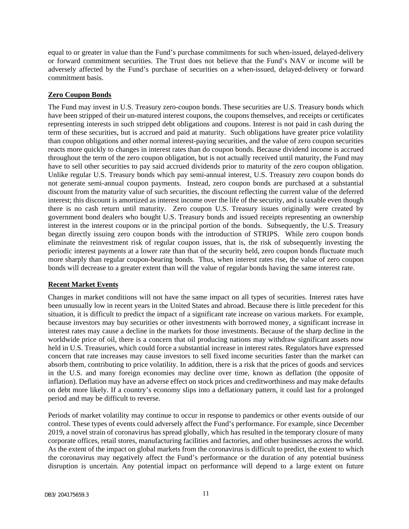equal to or greater in value than the Fund's purchase commitments for such when-issued, delayed-delivery or forward commitment securities. The Trust does not believe that the Fund's NAV or income will be adversely affected by the Fund's purchase of securities on a when-issued, delayed-delivery or forward commitment basis.

### **Zero Coupon Bonds**

The Fund may invest in U.S. Treasury zero-coupon bonds. These securities are U.S. Treasury bonds which have been stripped of their un-matured interest coupons, the coupons themselves, and receipts or certificates representing interests in such stripped debt obligations and coupons. Interest is not paid in cash during the term of these securities, but is accrued and paid at maturity. Such obligations have greater price volatility than coupon obligations and other normal interest-paying securities, and the value of zero coupon securities reacts more quickly to changes in interest rates than do coupon bonds. Because dividend income is accrued throughout the term of the zero coupon obligation, but is not actually received until maturity, the Fund may have to sell other securities to pay said accrued dividends prior to maturity of the zero coupon obligation. Unlike regular U.S. Treasury bonds which pay semi-annual interest, U.S. Treasury zero coupon bonds do not generate semi-annual coupon payments. Instead, zero coupon bonds are purchased at a substantial discount from the maturity value of such securities, the discount reflecting the current value of the deferred interest; this discount is amortized as interest income over the life of the security, and is taxable even though there is no cash return until maturity. Zero coupon U.S. Treasury issues originally were created by government bond dealers who bought U.S. Treasury bonds and issued receipts representing an ownership interest in the interest coupons or in the principal portion of the bonds. Subsequently, the U.S. Treasury began directly issuing zero coupon bonds with the introduction of STRIPS. While zero coupon bonds eliminate the reinvestment risk of regular coupon issues, that is, the risk of subsequently investing the periodic interest payments at a lower rate than that of the security held, zero coupon bonds fluctuate much more sharply than regular coupon-bearing bonds. Thus, when interest rates rise, the value of zero coupon bonds will decrease to a greater extent than will the value of regular bonds having the same interest rate.

# **Recent Market Events**

Changes in market conditions will not have the same impact on all types of securities. Interest rates have been unusually low in recent years in the United States and abroad. Because there is little precedent for this situation, it is difficult to predict the impact of a significant rate increase on various markets. For example, because investors may buy securities or other investments with borrowed money, a significant increase in interest rates may cause a decline in the markets for those investments. Because of the sharp decline in the worldwide price of oil, there is a concern that oil producing nations may withdraw significant assets now held in U.S. Treasuries, which could force a substantial increase in interest rates. Regulators have expressed concern that rate increases may cause investors to sell fixed income securities faster than the market can absorb them, contributing to price volatility. In addition, there is a risk that the prices of goods and services in the U.S. and many foreign economies may decline over time, known as deflation (the opposite of inflation). Deflation may have an adverse effect on stock prices and creditworthiness and may make defaults on debt more likely. If a country's economy slips into a deflationary pattern, it could last for a prolonged period and may be difficult to reverse.

Periods of market volatility may continue to occur in response to pandemics or other events outside of our control. These types of events could adversely affect the Fund's performance. For example, since December 2019, a novel strain of coronavirus has spread globally, which has resulted in the temporary closure of many corporate offices, retail stores, manufacturing facilities and factories, and other businesses across the world. As the extent of the impact on global markets from the coronavirus is difficult to predict, the extent to which the coronavirus may negatively affect the Fund's performance or the duration of any potential business disruption is uncertain. Any potential impact on performance will depend to a large extent on future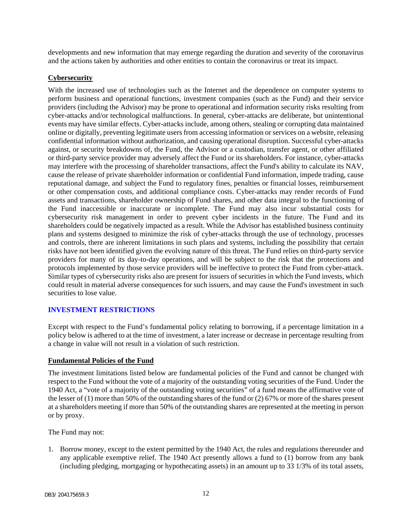developments and new information that may emerge regarding the duration and severity of the coronavirus and the actions taken by authorities and other entities to contain the coronavirus or treat its impact.

### **Cybersecurity**

With the increased use of technologies such as the Internet and the dependence on computer systems to perform business and operational functions, investment companies (such as the Fund) and their service providers (including the Advisor) may be prone to operational and information security risks resulting from cyber-attacks and/or technological malfunctions. In general, cyber-attacks are deliberate, but unintentional events may have similar effects. Cyber-attacks include, among others, stealing or corrupting data maintained online or digitally, preventing legitimate users from accessing information or services on a website, releasing confidential information without authorization, and causing operational disruption. Successful cyber-attacks against, or security breakdowns of, the Fund, the Advisor or a custodian, transfer agent, or other affiliated or third-party service provider may adversely affect the Fund or its shareholders. For instance, cyber-attacks may interfere with the processing of shareholder transactions, affect the Fund's ability to calculate its NAV, cause the release of private shareholder information or confidential Fund information, impede trading, cause reputational damage, and subject the Fund to regulatory fines, penalties or financial losses, reimbursement or other compensation costs, and additional compliance costs. Cyber-attacks may render records of Fund assets and transactions, shareholder ownership of Fund shares, and other data integral to the functioning of the Fund inaccessible or inaccurate or incomplete. The Fund may also incur substantial costs for cybersecurity risk management in order to prevent cyber incidents in the future. The Fund and its shareholders could be negatively impacted as a result. While the Advisor has established business continuity plans and systems designed to minimize the risk of cyber-attacks through the use of technology, processes and controls, there are inherent limitations in such plans and systems, including the possibility that certain risks have not been identified given the evolving nature of this threat. The Fund relies on third-party service providers for many of its day-to-day operations, and will be subject to the risk that the protections and protocols implemented by those service providers will be ineffective to protect the Fund from cyber-attack. Similar types of cybersecurity risks also are present for issuers of securities in which the Fund invests, which could result in material adverse consequences for such issuers, and may cause the Fund's investment in such securities to lose value.

# <span id="page-13-0"></span>**INVESTMENT RESTRICTIONS**

Except with respect to the Fund's fundamental policy relating to borrowing, if a percentage limitation in a policy below is adhered to at the time of investment, a later increase or decrease in percentage resulting from a change in value will not result in a violation of such restriction.

### **Fundamental Policies of the Fund**

The investment limitations listed below are fundamental policies of the Fund and cannot be changed with respect to the Fund without the vote of a majority of the outstanding voting securities of the Fund. Under the 1940 Act, a "vote of a majority of the outstanding voting securities" of a fund means the affirmative vote of the lesser of (1) more than 50% of the outstanding shares of the fund or (2) 67% or more of the shares present at a shareholders meeting if more than 50% of the outstanding shares are represented at the meeting in person or by proxy.

The Fund may not:

1. Borrow money, except to the extent permitted by the 1940 Act, the rules and regulations thereunder and any applicable exemptive relief. The 1940 Act presently allows a fund to (1) borrow from any bank (including pledging, mortgaging or hypothecating assets) in an amount up to 33 1/3% of its total assets,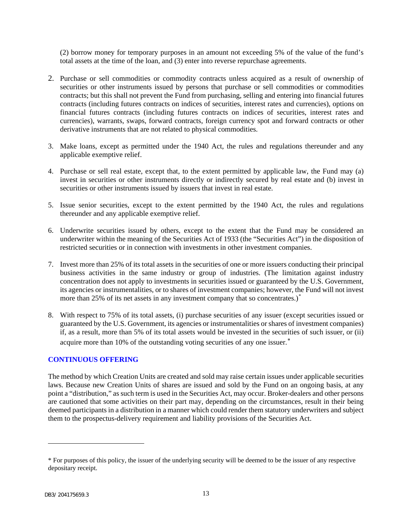(2) borrow money for temporary purposes in an amount not exceeding 5% of the value of the fund's total assets at the time of the loan, and (3) enter into reverse repurchase agreements.

- 2. Purchase or sell commodities or commodity contracts unless acquired as a result of ownership of securities or other instruments issued by persons that purchase or sell commodities or commodities contracts; but this shall not prevent the Fund from purchasing, selling and entering into financial futures contracts (including futures contracts on indices of securities, interest rates and currencies), options on financial futures contracts (including futures contracts on indices of securities, interest rates and currencies), warrants, swaps, forward contracts, foreign currency spot and forward contracts or other derivative instruments that are not related to physical commodities.
- 3. Make loans, except as permitted under the 1940 Act, the rules and regulations thereunder and any applicable exemptive relief.
- 4. Purchase or sell real estate, except that, to the extent permitted by applicable law, the Fund may (a) invest in securities or other instruments directly or indirectly secured by real estate and (b) invest in securities or other instruments issued by issuers that invest in real estate.
- 5. Issue senior securities, except to the extent permitted by the 1940 Act, the rules and regulations thereunder and any applicable exemptive relief.
- 6. Underwrite securities issued by others, except to the extent that the Fund may be considered an underwriter within the meaning of the Securities Act of 1933 (the "Securities Act") in the disposition of restricted securities or in connection with investments in other investment companies.
- 7. Invest more than 25% of its total assets in the securities of one or more issuers conducting their principal business activities in the same industry or group of industries. (The limitation against industry concentration does not apply to investments in securities issued or guaranteed by the U.S. Government, its agencies or instrumentalities, or to shares of investment companies; however, the Fund will not invest more than 25% of its net assets in any investment company that so concentrates.)<sup>[\\*](#page-14-1)</sup>
- 8. With respect to 75% of its total assets, (i) purchase securities of any issuer (except securities issued or guaranteed by the U.S. Government, its agencies or instrumentalities or shares of investment companies) if, as a result, more than 5% of its total assets would be invested in the securities of such issuer, or (ii) acquire more than 10% of the outstanding voting securities of any one issuer.<sup>\*</sup>

#### <span id="page-14-0"></span>**CONTINUOUS OFFERING**

The method by which Creation Units are created and sold may raise certain issues under applicable securities laws. Because new Creation Units of shares are issued and sold by the Fund on an ongoing basis, at any point a "distribution," as such term is used in the Securities Act, may occur. Broker-dealers and other persons are cautioned that some activities on their part may, depending on the circumstances, result in their being deemed participants in a distribution in a manner which could render them statutory underwriters and subject them to the prospectus-delivery requirement and liability provisions of the Securities Act.

<span id="page-14-2"></span><span id="page-14-1"></span><sup>\*</sup> For purposes of this policy, the issuer of the underlying security will be deemed to be the issuer of any respective depositary receipt.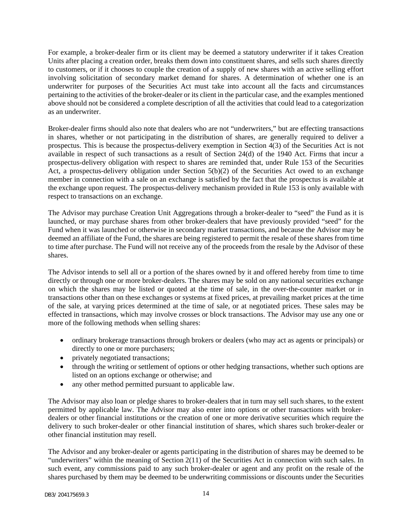For example, a broker-dealer firm or its client may be deemed a statutory underwriter if it takes Creation Units after placing a creation order, breaks them down into constituent shares, and sells such shares directly to customers, or if it chooses to couple the creation of a supply of new shares with an active selling effort involving solicitation of secondary market demand for shares. A determination of whether one is an underwriter for purposes of the Securities Act must take into account all the facts and circumstances pertaining to the activities of the broker-dealer or its client in the particular case, and the examples mentioned above should not be considered a complete description of all the activities that could lead to a categorization as an underwriter.

Broker-dealer firms should also note that dealers who are not "underwriters," but are effecting transactions in shares, whether or not participating in the distribution of shares, are generally required to deliver a prospectus. This is because the prospectus-delivery exemption in Section 4(3) of the Securities Act is not available in respect of such transactions as a result of Section 24(d) of the 1940 Act. Firms that incur a prospectus-delivery obligation with respect to shares are reminded that, under Rule 153 of the Securities Act, a prospectus-delivery obligation under Section 5(b)(2) of the Securities Act owed to an exchange member in connection with a sale on an exchange is satisfied by the fact that the prospectus is available at the exchange upon request. The prospectus-delivery mechanism provided in Rule 153 is only available with respect to transactions on an exchange.

The Advisor may purchase Creation Unit Aggregations through a broker-dealer to "seed" the Fund as it is launched, or may purchase shares from other broker-dealers that have previously provided "seed" for the Fund when it was launched or otherwise in secondary market transactions, and because the Advisor may be deemed an affiliate of the Fund, the shares are being registered to permit the resale of these shares from time to time after purchase. The Fund will not receive any of the proceeds from the resale by the Advisor of these shares.

The Advisor intends to sell all or a portion of the shares owned by it and offered hereby from time to time directly or through one or more broker-dealers. The shares may be sold on any national securities exchange on which the shares may be listed or quoted at the time of sale, in the over-the-counter market or in transactions other than on these exchanges or systems at fixed prices, at prevailing market prices at the time of the sale, at varying prices determined at the time of sale, or at negotiated prices. These sales may be effected in transactions, which may involve crosses or block transactions. The Advisor may use any one or more of the following methods when selling shares:

- ordinary brokerage transactions through brokers or dealers (who may act as agents or principals) or directly to one or more purchasers;
- privately negotiated transactions;
- through the writing or settlement of options or other hedging transactions, whether such options are listed on an options exchange or otherwise; and
- any other method permitted pursuant to applicable law.

The Advisor may also loan or pledge shares to broker-dealers that in turn may sell such shares, to the extent permitted by applicable law. The Advisor may also enter into options or other transactions with brokerdealers or other financial institutions or the creation of one or more derivative securities which require the delivery to such broker-dealer or other financial institution of shares, which shares such broker-dealer or other financial institution may resell.

The Advisor and any broker-dealer or agents participating in the distribution of shares may be deemed to be "underwriters" within the meaning of Section 2(11) of the Securities Act in connection with such sales. In such event, any commissions paid to any such broker-dealer or agent and any profit on the resale of the shares purchased by them may be deemed to be underwriting commissions or discounts under the Securities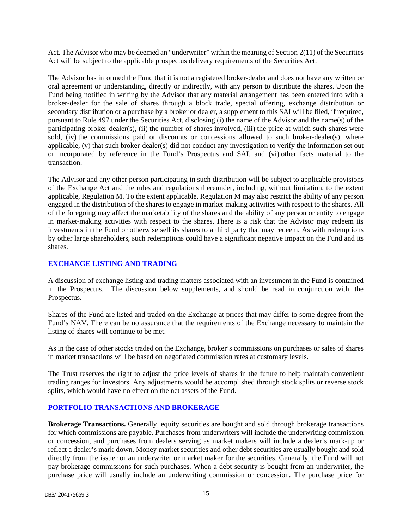Act. The Advisor who may be deemed an "underwriter" within the meaning of Section 2(11) of the Securities Act will be subject to the applicable prospectus delivery requirements of the Securities Act.

The Advisor has informed the Fund that it is not a registered broker-dealer and does not have any written or oral agreement or understanding, directly or indirectly, with any person to distribute the shares. Upon the Fund being notified in writing by the Advisor that any material arrangement has been entered into with a broker-dealer for the sale of shares through a block trade, special offering, exchange distribution or secondary distribution or a purchase by a broker or dealer, a supplement to this SAI will be filed, if required, pursuant to Rule 497 under the Securities Act, disclosing (i) the name of the Advisor and the name(s) of the participating broker-dealer(s), (ii) the number of shares involved, (iii) the price at which such shares were sold, (iv) the commissions paid or discounts or concessions allowed to such broker-dealer(s), where applicable, (v) that such broker-dealer(s) did not conduct any investigation to verify the information set out or incorporated by reference in the Fund's Prospectus and SAI, and (vi) other facts material to the transaction.

The Advisor and any other person participating in such distribution will be subject to applicable provisions of the Exchange Act and the rules and regulations thereunder, including, without limitation, to the extent applicable, Regulation M. To the extent applicable, Regulation M may also restrict the ability of any person engaged in the distribution of the shares to engage in market-making activities with respect to the shares. All of the foregoing may affect the marketability of the shares and the ability of any person or entity to engage in market-making activities with respect to the shares. There is a risk that the Advisor may redeem its investments in the Fund or otherwise sell its shares to a third party that may redeem. As with redemptions by other large shareholders, such redemptions could have a significant negative impact on the Fund and its shares.

#### <span id="page-16-0"></span>**EXCHANGE LISTING AND TRADING**

A discussion of exchange listing and trading matters associated with an investment in the Fund is contained in the Prospectus. The discussion below supplements, and should be read in conjunction with, the Prospectus.

Shares of the Fund are listed and traded on the Exchange at prices that may differ to some degree from the Fund's NAV. There can be no assurance that the requirements of the Exchange necessary to maintain the listing of shares will continue to be met.

As in the case of other stocks traded on the Exchange, broker's commissions on purchases or sales of shares in market transactions will be based on negotiated commission rates at customary levels.

The Trust reserves the right to adjust the price levels of shares in the future to help maintain convenient trading ranges for investors. Any adjustments would be accomplished through stock splits or reverse stock splits, which would have no effect on the net assets of the Fund.

### <span id="page-16-1"></span>**PORTFOLIO TRANSACTIONS AND BROKERAGE**

**Brokerage Transactions.** Generally, equity securities are bought and sold through brokerage transactions for which commissions are payable. Purchases from underwriters will include the underwriting commission or concession, and purchases from dealers serving as market makers will include a dealer's mark-up or reflect a dealer's mark-down. Money market securities and other debt securities are usually bought and sold directly from the issuer or an underwriter or market maker for the securities. Generally, the Fund will not pay brokerage commissions for such purchases. When a debt security is bought from an underwriter, the purchase price will usually include an underwriting commission or concession. The purchase price for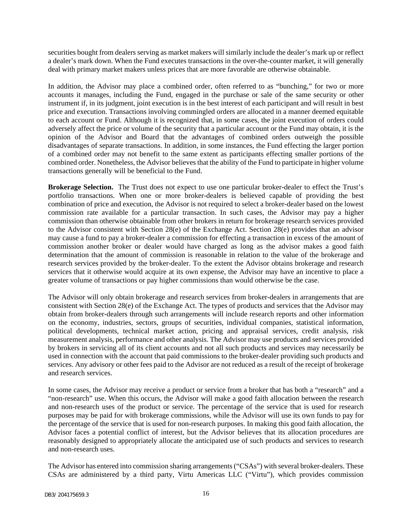securities bought from dealers serving as market makers will similarly include the dealer's mark up or reflect a dealer's mark down. When the Fund executes transactions in the over-the-counter market, it will generally deal with primary market makers unless prices that are more favorable are otherwise obtainable.

In addition, the Advisor may place a combined order, often referred to as "bunching," for two or more accounts it manages, including the Fund, engaged in the purchase or sale of the same security or other instrument if, in its judgment, joint execution is in the best interest of each participant and will result in best price and execution. Transactions involving commingled orders are allocated in a manner deemed equitable to each account or Fund. Although it is recognized that, in some cases, the joint execution of orders could adversely affect the price or volume of the security that a particular account or the Fund may obtain, it is the opinion of the Advisor and Board that the advantages of combined orders outweigh the possible disadvantages of separate transactions. In addition, in some instances, the Fund effecting the larger portion of a combined order may not benefit to the same extent as participants effecting smaller portions of the combined order. Nonetheless, the Advisor believes that the ability of the Fund to participate in higher volume transactions generally will be beneficial to the Fund.

**Brokerage Selection.** The Trust does not expect to use one particular broker-dealer to effect the Trust's portfolio transactions. When one or more broker-dealers is believed capable of providing the best combination of price and execution, the Advisor is not required to select a broker-dealer based on the lowest commission rate available for a particular transaction. In such cases, the Advisor may pay a higher commission than otherwise obtainable from other brokers in return for brokerage research services provided to the Advisor consistent with Section 28(e) of the Exchange Act. Section 28(e) provides that an advisor may cause a fund to pay a broker-dealer a commission for effecting a transaction in excess of the amount of commission another broker or dealer would have charged as long as the advisor makes a good faith determination that the amount of commission is reasonable in relation to the value of the brokerage and research services provided by the broker-dealer. To the extent the Advisor obtains brokerage and research services that it otherwise would acquire at its own expense, the Advisor may have an incentive to place a greater volume of transactions or pay higher commissions than would otherwise be the case.

The Advisor will only obtain brokerage and research services from broker-dealers in arrangements that are consistent with Section 28(e) of the Exchange Act. The types of products and services that the Advisor may obtain from broker-dealers through such arrangements will include research reports and other information on the economy, industries, sectors, groups of securities, individual companies, statistical information, political developments, technical market action, pricing and appraisal services, credit analysis, risk measurement analysis, performance and other analysis. The Advisor may use products and services provided by brokers in servicing all of its client accounts and not all such products and services may necessarily be used in connection with the account that paid commissions to the broker-dealer providing such products and services. Any advisory or other fees paid to the Advisor are not reduced as a result of the receipt of brokerage and research services.

In some cases, the Advisor may receive a product or service from a broker that has both a "research" and a "non-research" use. When this occurs, the Advisor will make a good faith allocation between the research and non-research uses of the product or service. The percentage of the service that is used for research purposes may be paid for with brokerage commissions, while the Advisor will use its own funds to pay for the percentage of the service that is used for non-research purposes. In making this good faith allocation, the Advisor faces a potential conflict of interest, but the Advisor believes that its allocation procedures are reasonably designed to appropriately allocate the anticipated use of such products and services to research and non-research uses.

The Advisor has entered into commission sharing arrangements ("CSAs") with several broker-dealers. These CSAs are administered by a third party, Virtu Americas LLC ("Virtu"), which provides commission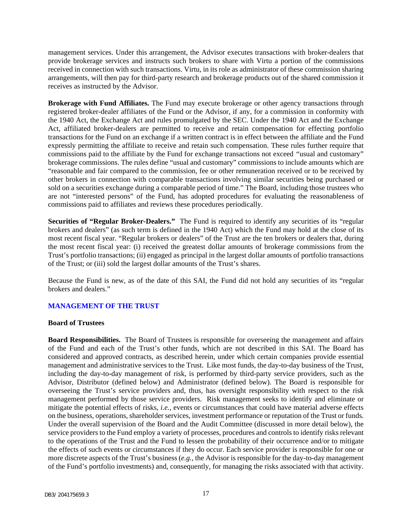management services. Under this arrangement, the Advisor executes transactions with broker-dealers that provide brokerage services and instructs such brokers to share with Virtu a portion of the commissions received in connection with such transactions. Virtu, in its role as administrator of these commission sharing arrangements, will then pay for third-party research and brokerage products out of the shared commission it receives as instructed by the Advisor.

**Brokerage with Fund Affiliates.** The Fund may execute brokerage or other agency transactions through registered broker-dealer affiliates of the Fund or the Advisor, if any, for a commission in conformity with the 1940 Act, the Exchange Act and rules promulgated by the SEC. Under the 1940 Act and the Exchange Act, affiliated broker-dealers are permitted to receive and retain compensation for effecting portfolio transactions for the Fund on an exchange if a written contract is in effect between the affiliate and the Fund expressly permitting the affiliate to receive and retain such compensation. These rules further require that commissions paid to the affiliate by the Fund for exchange transactions not exceed *"*usual and customary" brokerage commissions. The rules define "usual and customary" commissions to include amounts which are "reasonable and fair compared to the commission, fee or other remuneration received or to be received by other brokers in connection with comparable transactions involving similar securities being purchased or sold on a securities exchange during a comparable period of time." The Board, including those trustees who are not "interested persons" of the Fund, has adopted procedures for evaluating the reasonableness of commissions paid to affiliates and reviews these procedures periodically.

**Securities of "Regular Broker-Dealers."** The Fund is required to identify any securities of its "regular brokers and dealers" (as such term is defined in the 1940 Act) which the Fund may hold at the close of its most recent fiscal year. "Regular brokers or dealers" of the Trust are the ten brokers or dealers that, during the most recent fiscal year: (i) received the greatest dollar amounts of brokerage commissions from the Trust's portfolio transactions; (ii) engaged as principal in the largest dollar amounts of portfolio transactions of the Trust; or (iii) sold the largest dollar amounts of the Trust's shares.

Because the Fund is new, as of the date of this SAI, the Fund did not hold any securities of its "regular brokers and dealers."

### <span id="page-18-0"></span>**MANAGEMENT OF THE TRUST**

#### **Board of Trustees**

**Board Responsibilities.** The Board of Trustees is responsible for overseeing the management and affairs of the Fund and each of the Trust's other funds, which are not described in this SAI. The Board has considered and approved contracts, as described herein, under which certain companies provide essential management and administrative services to the Trust. Like most funds, the day-to-day business of the Trust, including the day-to-day management of risk, is performed by third-party service providers, such as the Advisor, Distributor (defined below) and Administrator (defined below). The Board is responsible for overseeing the Trust's service providers and, thus, has oversight responsibility with respect to the risk management performed by those service providers. Risk management seeks to identify and eliminate or mitigate the potential effects of risks, *i.e.*, events or circumstances that could have material adverse effects on the business, operations, shareholder services, investment performance or reputation of the Trust or funds. Under the overall supervision of the Board and the Audit Committee (discussed in more detail below), the service providers to the Fund employ a variety of processes, procedures and controls to identify risks relevant to the operations of the Trust and the Fund to lessen the probability of their occurrence and/or to mitigate the effects of such events or circumstances if they do occur. Each service provider is responsible for one or more discrete aspects of the Trust's business (*e.g.*, the Advisor is responsible for the day-to-day management of the Fund's portfolio investments) and, consequently, for managing the risks associated with that activity.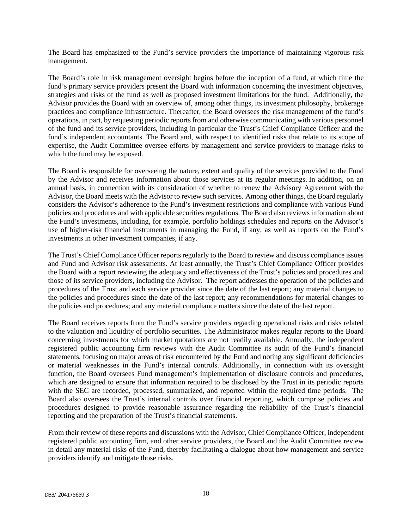The Board has emphasized to the Fund's service providers the importance of maintaining vigorous risk management.

The Board's role in risk management oversight begins before the inception of a fund, at which time the fund's primary service providers present the Board with information concerning the investment objectives, strategies and risks of the fund as well as proposed investment limitations for the fund. Additionally, the Advisor provides the Board with an overview of, among other things, its investment philosophy, brokerage practices and compliance infrastructure. Thereafter, the Board oversees the risk management of the fund's operations, in part, by requesting periodic reports from and otherwise communicating with various personnel of the fund and its service providers, including in particular the Trust's Chief Compliance Officer and the fund's independent accountants. The Board and, with respect to identified risks that relate to its scope of expertise, the Audit Committee oversee efforts by management and service providers to manage risks to which the fund may be exposed.

The Board is responsible for overseeing the nature, extent and quality of the services provided to the Fund by the Advisor and receives information about those services at its regular meetings. In addition, on an annual basis, in connection with its consideration of whether to renew the Advisory Agreement with the Advisor, the Board meets with the Advisor to review such services. Among other things, the Board regularly considers the Advisor's adherence to the Fund's investment restrictions and compliance with various Fund policies and procedures and with applicable securities regulations. The Board also reviews information about the Fund's investments, including, for example, portfolio holdings schedules and reports on the Advisor's use of higher-risk financial instruments in managing the Fund, if any, as well as reports on the Fund's investments in other investment companies, if any.

The Trust's Chief Compliance Officer reports regularly to the Board to review and discuss compliance issues and Fund and Advisor risk assessments. At least annually, the Trust's Chief Compliance Officer provides the Board with a report reviewing the adequacy and effectiveness of the Trust's policies and procedures and those of its service providers, including the Advisor. The report addresses the operation of the policies and procedures of the Trust and each service provider since the date of the last report; any material changes to the policies and procedures since the date of the last report; any recommendations for material changes to the policies and procedures; and any material compliance matters since the date of the last report.

The Board receives reports from the Fund's service providers regarding operational risks and risks related to the valuation and liquidity of portfolio securities. The Administrator makes regular reports to the Board concerning investments for which market quotations are not readily available. Annually, the independent registered public accounting firm reviews with the Audit Committee its audit of the Fund's financial statements, focusing on major areas of risk encountered by the Fund and noting any significant deficiencies or material weaknesses in the Fund's internal controls. Additionally, in connection with its oversight function, the Board oversees Fund management's implementation of disclosure controls and procedures, which are designed to ensure that information required to be disclosed by the Trust in its periodic reports with the SEC are recorded, processed, summarized, and reported within the required time periods. The Board also oversees the Trust's internal controls over financial reporting, which comprise policies and procedures designed to provide reasonable assurance regarding the reliability of the Trust's financial reporting and the preparation of the Trust's financial statements.

From their review of these reports and discussions with the Advisor, Chief Compliance Officer, independent registered public accounting firm, and other service providers, the Board and the Audit Committee review in detail any material risks of the Fund, thereby facilitating a dialogue about how management and service providers identify and mitigate those risks.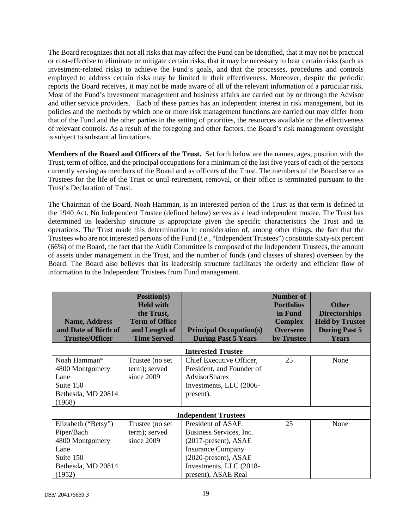The Board recognizes that not all risks that may affect the Fund can be identified, that it may not be practical or cost-effective to eliminate or mitigate certain risks, that it may be necessary to bear certain risks (such as investment-related risks) to achieve the Fund's goals, and that the processes, procedures and controls employed to address certain risks may be limited in their effectiveness. Moreover, despite the periodic reports the Board receives, it may not be made aware of all of the relevant information of a particular risk. Most of the Fund's investment management and business affairs are carried out by or through the Advisor and other service providers. Each of these parties has an independent interest in risk management, but its policies and the methods by which one or more risk management functions are carried out may differ from that of the Fund and the other parties in the setting of priorities, the resources available or the effectiveness of relevant controls. As a result of the foregoing and other factors, the Board's risk management oversight is subject to substantial limitations.

**Members of the Board and Officers of the Trust.** Set forth below are the names, ages, position with the Trust, term of office, and the principal occupations for a minimum of the last five years of each of the persons currently serving as members of the Board and as officers of the Trust. The members of the Board serve as Trustees for the life of the Trust or until retirement, removal, or their office is terminated pursuant to the Trust's Declaration of Trust.

The Chairman of the Board, Noah Hamman, is an interested person of the Trust as that term is defined in the 1940 Act. No Independent Trustee (defined below) serves as a lead independent trustee. The Trust has determined its leadership structure is appropriate given the specific characteristics the Trust and its operations. The Trust made this determination in consideration of, among other things, the fact that the Trustees who are not interested persons of the Fund (*i.e.*, "Independent Trustees") constitute sixty-six percent (66%) of the Board, the fact that the Audit Committee is composed of the Independent Trustees, the amount of assets under management in the Trust, and the number of funds (and classes of shares) overseen by the Board. The Board also believes that its leadership structure facilitates the orderly and efficient flow of information to the Independent Trustees from Fund management.

| <b>Name, Address</b><br>and Date of Birth of                                                              | Position(s)<br><b>Held with</b><br>the Trust,<br><b>Term of Office</b><br>and Length of | <b>Principal Occupation(s)</b>                                                                                                                                             | <b>Number of</b><br><b>Portfolios</b><br>in Fund<br><b>Complex</b><br><b>Overseen</b> | <b>Other</b><br><b>Directorships</b><br><b>Held by Trustee</b><br><b>During Past 5</b> |
|-----------------------------------------------------------------------------------------------------------|-----------------------------------------------------------------------------------------|----------------------------------------------------------------------------------------------------------------------------------------------------------------------------|---------------------------------------------------------------------------------------|----------------------------------------------------------------------------------------|
| <b>Trustee/Officer</b>                                                                                    | <b>Time Served</b>                                                                      | <b>During Past 5 Years</b>                                                                                                                                                 | by Trustee                                                                            | <b>Years</b>                                                                           |
|                                                                                                           |                                                                                         | <b>Interested Trustee</b>                                                                                                                                                  |                                                                                       |                                                                                        |
| Noah Hamman*<br>4800 Montgomery<br>Lane<br>Suite 150<br>Bethesda, MD 20814<br>(1968)                      | Trustee (no set<br>term); served<br>since 2009                                          | Chief Executive Officer,<br>President, and Founder of<br>AdvisorShares<br>Investments, LLC (2006-<br>present).                                                             | 25                                                                                    | None                                                                                   |
|                                                                                                           |                                                                                         | <b>Independent Trustees</b>                                                                                                                                                |                                                                                       |                                                                                        |
| Elizabeth ("Betsy")<br>Piper/Bach<br>4800 Montgomery<br>Lane<br>Suite 150<br>Bethesda, MD 20814<br>(1952) | Trustee (no set<br>term); served<br>since 2009                                          | President of ASAE<br>Business Services, Inc.<br>(2017-present), ASAE<br><b>Insurance Company</b><br>(2020-present), ASAE<br>Investments, LLC (2018-<br>present), ASAE Real | 25                                                                                    | None                                                                                   |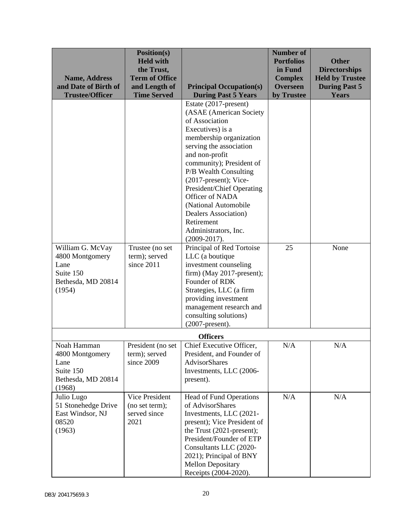| <b>Name, Address</b><br>and Date of Birth of<br><b>Trustee/Officer</b>                   | <b>Position(s)</b><br><b>Held with</b><br>the Trust,<br><b>Term of Office</b><br>and Length of<br><b>Time Served</b> | <b>Principal Occupation(s)</b><br><b>During Past 5 Years</b>                                                                                                                                                                                                                                                                                                                                              | <b>Number of</b><br><b>Portfolios</b><br>in Fund<br><b>Complex</b><br><b>Overseen</b><br>by Trustee | <b>Other</b><br><b>Directorships</b><br><b>Held by Trustee</b><br><b>During Past 5</b><br><b>Years</b> |
|------------------------------------------------------------------------------------------|----------------------------------------------------------------------------------------------------------------------|-----------------------------------------------------------------------------------------------------------------------------------------------------------------------------------------------------------------------------------------------------------------------------------------------------------------------------------------------------------------------------------------------------------|-----------------------------------------------------------------------------------------------------|--------------------------------------------------------------------------------------------------------|
|                                                                                          |                                                                                                                      | Estate (2017-present)<br>(ASAE (American Society<br>of Association<br>Executives) is a<br>membership organization<br>serving the association<br>and non-profit<br>community); President of<br>P/B Wealth Consulting<br>$(2017$ -present); Vice-<br>President/Chief Operating<br>Officer of NADA<br>(National Automobile<br>Dealers Association)<br>Retirement<br>Administrators, Inc.<br>$(2009 - 2017).$ |                                                                                                     |                                                                                                        |
| William G. McVay<br>4800 Montgomery<br>Lane<br>Suite 150<br>Bethesda, MD 20814<br>(1954) | Trustee (no set<br>term); served<br>since 2011                                                                       | Principal of Red Tortoise<br>LLC (a boutique<br>investment counseling<br>$firm)$ (May 2017-present);<br>Founder of RDK<br>Strategies, LLC (a firm<br>providing investment<br>management research and<br>consulting solutions)<br>$(2007$ -present).                                                                                                                                                       | 25                                                                                                  | None                                                                                                   |
|                                                                                          |                                                                                                                      | <b>Officers</b>                                                                                                                                                                                                                                                                                                                                                                                           |                                                                                                     |                                                                                                        |
| Noah Hamman<br>4800 Montgomery<br>Lane<br>Suite 150<br>Bethesda, MD 20814<br>(1968)      | term); served<br>since 2009                                                                                          | President (no set   Chief Executive Officer,<br>President, and Founder of<br><b>AdvisorShares</b><br>Investments, LLC (2006-<br>present).                                                                                                                                                                                                                                                                 | N/A                                                                                                 | N/A                                                                                                    |
| Julio Lugo<br>51 Stonehedge Drive<br>East Windsor, NJ<br>08520<br>(1963)                 | Vice President<br>(no set term);<br>served since<br>2021                                                             | <b>Head of Fund Operations</b><br>of AdvisorShares<br>Investments, LLC (2021-<br>present); Vice President of<br>the Trust (2021-present);<br>President/Founder of ETP<br>Consultants LLC (2020-<br>2021); Principal of BNY<br><b>Mellon Depositary</b><br>Receipts (2004-2020).                                                                                                                           | N/A                                                                                                 | N/A                                                                                                    |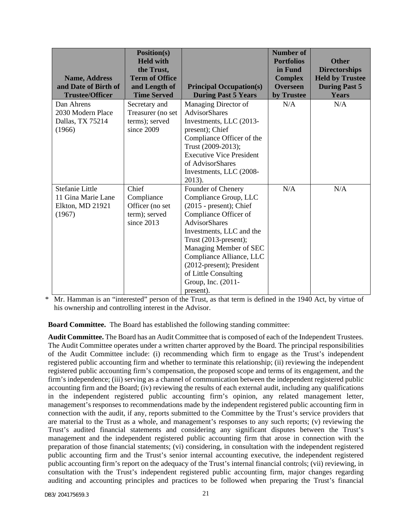| <b>Name, Address</b><br>and Date of Birth of<br><b>Trustee/Officer</b> | Position(s)<br><b>Held with</b><br>the Trust,<br><b>Term of Office</b><br>and Length of<br><b>Time Served</b> | <b>Principal Occupation(s)</b><br><b>During Past 5 Years</b>                                                                                                                                                                                                                                                                  | <b>Number of</b><br><b>Portfolios</b><br>in Fund<br><b>Complex</b><br><b>Overseen</b><br>by Trustee | <b>Other</b><br><b>Directorships</b><br><b>Held by Trustee</b><br><b>During Past 5</b><br><b>Years</b> |
|------------------------------------------------------------------------|---------------------------------------------------------------------------------------------------------------|-------------------------------------------------------------------------------------------------------------------------------------------------------------------------------------------------------------------------------------------------------------------------------------------------------------------------------|-----------------------------------------------------------------------------------------------------|--------------------------------------------------------------------------------------------------------|
| Dan Ahrens<br>2030 Modern Place<br>Dallas, TX 75214<br>(1966)          | Secretary and<br>Treasurer (no set<br>terms); served<br>since 2009                                            | Managing Director of<br><b>AdvisorShares</b><br>Investments, LLC (2013-<br>present); Chief<br>Compliance Officer of the<br>Trust (2009-2013);<br><b>Executive Vice President</b><br>of AdvisorShares<br>Investments, LLC (2008-<br>2013).                                                                                     | N/A                                                                                                 | N/A                                                                                                    |
| Stefanie Little<br>11 Gina Marie Lane<br>Elkton, MD 21921<br>(1967)    | Chief<br>Compliance<br>Officer (no set<br>term); served<br>since 2013                                         | Founder of Chenery<br>Compliance Group, LLC<br>$(2015 - present)$ ; Chief<br>Compliance Officer of<br><b>AdvisorShares</b><br>Investments, LLC and the<br>Trust (2013-present);<br>Managing Member of SEC<br>Compliance Alliance, LLC<br>(2012-present); President<br>of Little Consulting<br>Group, Inc. (2011-<br>present). | N/A                                                                                                 | N/A                                                                                                    |

\* Mr. Hamman is an "interested" person of the Trust, as that term is defined in the 1940 Act, by virtue of his ownership and controlling interest in the Advisor.

**Board Committee.** The Board has established the following standing committee:

**Audit Committee.** The Board has an Audit Committee that is composed of each of the Independent Trustees. The Audit Committee operates under a written charter approved by the Board. The principal responsibilities of the Audit Committee include: (i) recommending which firm to engage as the Trust's independent registered public accounting firm and whether to terminate this relationship; (ii) reviewing the independent registered public accounting firm's compensation, the proposed scope and terms of its engagement, and the firm's independence; (iii) serving as a channel of communication between the independent registered public accounting firm and the Board; (iv) reviewing the results of each external audit, including any qualifications in the independent registered public accounting firm's opinion, any related management letter, management's responses to recommendations made by the independent registered public accounting firm in connection with the audit, if any, reports submitted to the Committee by the Trust's service providers that are material to the Trust as a whole, and management's responses to any such reports; (v) reviewing the Trust's audited financial statements and considering any significant disputes between the Trust's management and the independent registered public accounting firm that arose in connection with the preparation of those financial statements; (vi) considering, in consultation with the independent registered public accounting firm and the Trust's senior internal accounting executive, the independent registered public accounting firm's report on the adequacy of the Trust's internal financial controls; (vii) reviewing, in consultation with the Trust's independent registered public accounting firm, major changes regarding auditing and accounting principles and practices to be followed when preparing the Trust's financial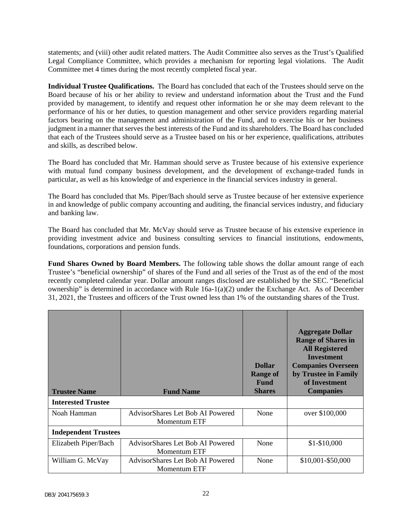statements; and (viii) other audit related matters. The Audit Committee also serves as the Trust's Qualified Legal Compliance Committee, which provides a mechanism for reporting legal violations. The Audit Committee met 4 times during the most recently completed fiscal year.

**Individual Trustee Qualifications.** The Board has concluded that each of the Trustees should serve on the Board because of his or her ability to review and understand information about the Trust and the Fund provided by management, to identify and request other information he or she may deem relevant to the performance of his or her duties, to question management and other service providers regarding material factors bearing on the management and administration of the Fund, and to exercise his or her business judgment in a manner that serves the best interests of the Fund and its shareholders. The Board has concluded that each of the Trustees should serve as a Trustee based on his or her experience, qualifications, attributes and skills, as described below.

The Board has concluded that Mr. Hamman should serve as Trustee because of his extensive experience with mutual fund company business development, and the development of exchange-traded funds in particular, as well as his knowledge of and experience in the financial services industry in general.

The Board has concluded that Ms. Piper/Bach should serve as Trustee because of her extensive experience in and knowledge of public company accounting and auditing, the financial services industry, and fiduciary and banking law.

The Board has concluded that Mr. McVay should serve as Trustee because of his extensive experience in providing investment advice and business consulting services to financial institutions, endowments, foundations, corporations and pension funds.

**Fund Shares Owned by Board Members.** The following table shows the dollar amount range of each Trustee's "beneficial ownership" of shares of the Fund and all series of the Trust as of the end of the most recently completed calendar year. Dollar amount ranges disclosed are established by the SEC. "Beneficial ownership" is determined in accordance with Rule 16a-1(a)(2) under the Exchange Act. As of December 31, 2021, the Trustees and officers of the Trust owned less than 1% of the outstanding shares of the Trust.

| <b>Trustee Name</b>         | <b>Fund Name</b>                                        | <b>Dollar</b><br><b>Range of</b><br><b>Fund</b><br><b>Shares</b> | <b>Aggregate Dollar</b><br><b>Range of Shares in</b><br><b>All Registered</b><br><b>Investment</b><br><b>Companies Overseen</b><br>by Trustee in Family<br>of Investment<br><b>Companies</b> |
|-----------------------------|---------------------------------------------------------|------------------------------------------------------------------|----------------------------------------------------------------------------------------------------------------------------------------------------------------------------------------------|
| <b>Interested Trustee</b>   |                                                         |                                                                  |                                                                                                                                                                                              |
| Noah Hamman                 | AdvisorShares Let Bob AI Powered<br>Momentum ETF        | None                                                             | over \$100,000                                                                                                                                                                               |
| <b>Independent Trustees</b> |                                                         |                                                                  |                                                                                                                                                                                              |
| Elizabeth Piper/Bach        | AdvisorShares Let Bob AI Powered<br>Momentum ETF        | None                                                             | $$1-$10,000$                                                                                                                                                                                 |
| William G. McVay            | AdvisorShares Let Bob AI Powered<br><b>Momentum ETF</b> | None                                                             | \$10,001-\$50,000                                                                                                                                                                            |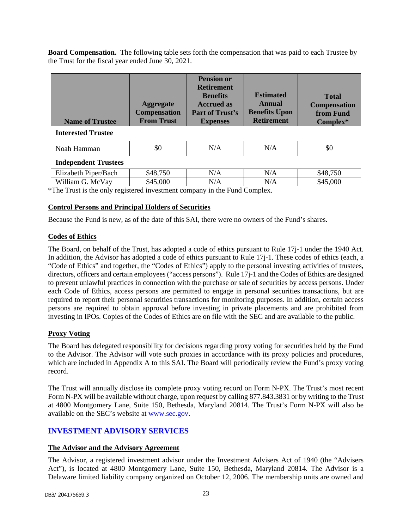**Board Compensation.** The following table sets forth the compensation that was paid to each Trustee by the Trust for the fiscal year ended June 30, 2021.

| <b>Name of Trustee</b>      | <b>Aggregate</b><br><b>Compensation</b><br><b>From Trust</b> | <b>Pension or</b><br><b>Retirement</b><br><b>Benefits</b><br><b>Accrued as</b><br>Part of Trust's<br><b>Expenses</b> | <b>Estimated</b><br>Annual<br><b>Benefits Upon</b><br><b>Retirement</b> | <b>Total</b><br><b>Compensation</b><br>from Fund<br>Complex* |
|-----------------------------|--------------------------------------------------------------|----------------------------------------------------------------------------------------------------------------------|-------------------------------------------------------------------------|--------------------------------------------------------------|
| <b>Interested Trustee</b>   |                                                              |                                                                                                                      |                                                                         |                                                              |
| Noah Hamman                 | \$0                                                          | N/A                                                                                                                  | N/A                                                                     | \$0                                                          |
| <b>Independent Trustees</b> |                                                              |                                                                                                                      |                                                                         |                                                              |
| Elizabeth Piper/Bach        | \$48,750                                                     | N/A                                                                                                                  | N/A                                                                     | \$48,750                                                     |
| William G. McVay            | \$45,000                                                     | N/A                                                                                                                  | N/A                                                                     | \$45,000                                                     |

\*The Trust is the only registered investment company in the Fund Complex.

# **Control Persons and Principal Holders of Securities**

Because the Fund is new, as of the date of this SAI, there were no owners of the Fund's shares.

### **Codes of Ethics**

The Board, on behalf of the Trust, has adopted a code of ethics pursuant to Rule 17j-1 under the 1940 Act. In addition, the Advisor has adopted a code of ethics pursuant to Rule 17j-1. These codes of ethics (each, a "Code of Ethics" and together, the "Codes of Ethics") apply to the personal investing activities of trustees, directors, officers and certain employees ("access persons"). Rule 17j-1 and the Codes of Ethics are designed to prevent unlawful practices in connection with the purchase or sale of securities by access persons. Under each Code of Ethics, access persons are permitted to engage in personal securities transactions, but are required to report their personal securities transactions for monitoring purposes. In addition, certain access persons are required to obtain approval before investing in private placements and are prohibited from investing in IPOs. Copies of the Codes of Ethics are on file with the SEC and are available to the public.

### **Proxy Voting**

The Board has delegated responsibility for decisions regarding proxy voting for securities held by the Fund to the Advisor. The Advisor will vote such proxies in accordance with its proxy policies and procedures, which are included in Appendix A to this SAI. The Board will periodically review the Fund's proxy voting record.

The Trust will annually disclose its complete proxy voting record on Form N-PX. The Trust's most recent Form N-PX will be available without charge, upon request by calling 877.843.3831 or by writing to the Trust at 4800 Montgomery Lane, Suite 150, Bethesda, Maryland 20814. The Trust's Form N-PX will also be available on the SEC's website at [www.sec.gov.](http://www.sec.gov/)

# <span id="page-24-0"></span>**INVESTMENT ADVISORY SERVICES**

#### **The Advisor and the Advisory Agreement**

The Advisor, a registered investment advisor under the Investment Advisers Act of 1940 (the "Advisers Act"), is located at 4800 Montgomery Lane, Suite 150, Bethesda, Maryland 20814. The Advisor is a Delaware limited liability company organized on October 12, 2006. The membership units are owned and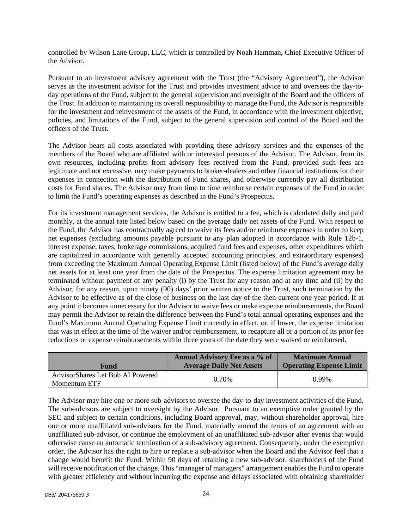controlled by Wilson Lane Group, LLC, which is controlled by Noah Hamman, Chief Executive Officer of the Advisor.

Pursuant to an investment advisory agreement with the Trust (the "Advisory Agreement"), the Advisor serves as the investment advisor for the Trust and provides investment advice to and oversees the day-today operations of the Fund, subject to the general supervision and oversight of the Board and the officers of the Trust. In addition to maintaining its overall responsibility to manage the Fund, the Advisor is responsible for the investment and reinvestment of the assets of the Fund, in accordance with the investment objective, policies, and limitations of the Fund, subject to the general supervision and control of the Board and the officers of the Trust.

The Advisor bears all costs associated with providing these advisory services and the expenses of the members of the Board who are affiliated with or interested persons of the Advisor. The Advisor, from its own resources, including profits from advisory fees received from the Fund, provided such fees are legitimate and not excessive, may make payments to broker-dealers and other financial institutions for their expenses in connection with the distribution of Fund shares, and otherwise currently pay all distribution costs for Fund shares. The Advisor may from time to time reimburse certain expenses of the Fund in order to limit the Fund's operating expenses as described in the Fund's Prospectus.

For its investment management services, the Advisor is entitled to a fee, which is calculated daily and paid monthly, at the annual rate listed below based on the average daily net assets of the Fund. With respect to the Fund, the Advisor has contractually agreed to waive its fees and/or reimburse expenses in order to keep net expenses (excluding amounts payable pursuant to any plan adopted in accordance with Rule 12b-1, interest expense, taxes, brokerage commissions, acquired fund fees and expenses, other expenditures which are capitalized in accordance with generally accepted accounting principles, and extraordinary expenses) from exceeding the Maximum Annual Operating Expense Limit (listed below) of the Fund's average daily net assets for at least one year from the date of the Prospectus. The expense limitation agreement may be terminated without payment of any penalty (i) by the Trust for any reason and at any time and (ii) by the Advisor, for any reason, upon ninety (90) days' prior written notice to the Trust, such termination by the Advisor to be effective as of the close of business on the last day of the then-current one year period. If at any point it becomes unnecessary for the Advisor to waive fees or make expense reimbursements, the Board may permit the Advisor to retain the difference between the Fund's total annual operating expenses and the Fund's Maximum Annual Operating Expense Limit currently in effect, or, if lower, the expense limitation that was in effect at the time of the waiver and/or reimbursement, to recapture all or a portion of its prior fee reductions or expense reimbursements within three years of the date they were waived or reimbursed.

| Fund                                             | Annual Advisory Fee as a % of<br><b>Average Daily Net Assets</b> | <b>Maximum Annual</b><br><b>Operating Expense Limit</b> |
|--------------------------------------------------|------------------------------------------------------------------|---------------------------------------------------------|
| AdvisorShares Let Bob AI Powered<br>Momentum ETF | 0.70%                                                            | $0.99\%$                                                |

The Advisor may hire one or more sub-advisors to oversee the day-to-day investment activities of the Fund. The sub-advisors are subject to oversight by the Advisor. Pursuant to an exemptive order granted by the SEC and subject to certain conditions, including Board approval, may, without shareholder approval, hire one or more unaffiliated sub-advisors for the Fund, materially amend the terms of an agreement with an unaffiliated sub-advisor, or continue the employment of an unaffiliated sub-advisor after events that would otherwise cause an automatic termination of a sub-advisory agreement. Consequently, under the exemptive order, the Advisor has the right to hire or replace a sub-advisor when the Board and the Advisor feel that a change would benefit the Fund. Within 90 days of retaining a new sub-advisor, shareholders of the Fund will receive notification of the change. This "manager of managers" arrangement enables the Fund to operate with greater efficiency and without incurring the expense and delays associated with obtaining shareholder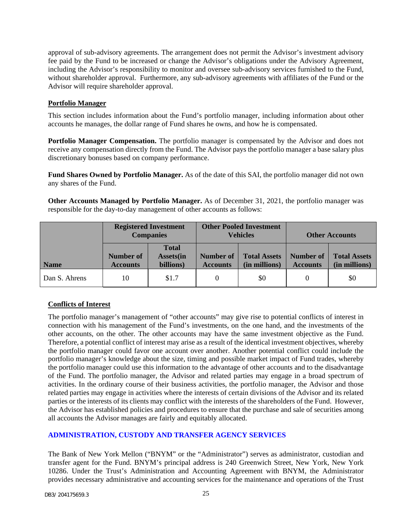approval of sub-advisory agreements. The arrangement does not permit the Advisor's investment advisory fee paid by the Fund to be increased or change the Advisor's obligations under the Advisory Agreement, including the Advisor's responsibility to monitor and oversee sub-advisory services furnished to the Fund, without shareholder approval. Furthermore, any sub-advisory agreements with affiliates of the Fund or the Advisor will require shareholder approval.

### **Portfolio Manager**

This section includes information about the Fund's portfolio manager, including information about other accounts he manages, the dollar range of Fund shares he owns, and how he is compensated.

**Portfolio Manager Compensation.** The portfolio manager is compensated by the Advisor and does not receive any compensation directly from the Fund. The Advisor pays the portfolio manager a base salary plus discretionary bonuses based on company performance.

**Fund Shares Owned by Portfolio Manager.** As of the date of this SAI, the portfolio manager did not own any shares of the Fund.

**Other Accounts Managed by Portfolio Manager.** As of December 31, 2021, the portfolio manager was responsible for the day-to-day management of other accounts as follows:

|               |                                     | <b>Registered Investment</b><br><b>Companies</b> |                              | <b>Other Pooled Investment</b><br><b>Vehicles</b> |                                     | <b>Other Accounts</b>                |
|---------------|-------------------------------------|--------------------------------------------------|------------------------------|---------------------------------------------------|-------------------------------------|--------------------------------------|
| <b>Name</b>   | <b>Number of</b><br><b>Accounts</b> | <b>Total</b><br><b>Assets</b> (in<br>billions)   | Number of<br><b>Accounts</b> | <b>Total Assets</b><br>(in millions)              | <b>Number of</b><br><b>Accounts</b> | <b>Total Assets</b><br>(in millions) |
| Dan S. Ahrens | 10                                  | \$1.7                                            |                              | \$0                                               |                                     | \$0                                  |

### **Conflicts of Interest**

The portfolio manager's management of "other accounts" may give rise to potential conflicts of interest in connection with his management of the Fund's investments, on the one hand, and the investments of the other accounts, on the other. The other accounts may have the same investment objective as the Fund. Therefore, a potential conflict of interest may arise as a result of the identical investment objectives, whereby the portfolio manager could favor one account over another. Another potential conflict could include the portfolio manager's knowledge about the size, timing and possible market impact of Fund trades, whereby the portfolio manager could use this information to the advantage of other accounts and to the disadvantage of the Fund. The portfolio manager, the Advisor and related parties may engage in a broad spectrum of activities. In the ordinary course of their business activities, the portfolio manager, the Advisor and those related parties may engage in activities where the interests of certain divisions of the Advisor and its related parties or the interests of its clients may conflict with the interests of the shareholders of the Fund. However, the Advisor has established policies and procedures to ensure that the purchase and sale of securities among all accounts the Advisor manages are fairly and equitably allocated.

# **ADMINISTRATION, CUSTODY AND TRANSFER AGENCY SERVICES**

The Bank of New York Mellon ("BNYM" or the "Administrator") serves as administrator, custodian and transfer agent for the Fund. BNYM's principal address is 240 Greenwich Street, New York, New York 10286. Under the Trust's Administration and Accounting Agreement with BNYM, the Administrator provides necessary administrative and accounting services for the maintenance and operations of the Trust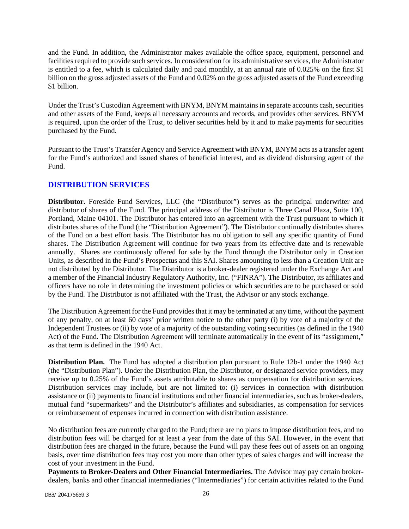and the Fund. In addition, the Administrator makes available the office space, equipment, personnel and facilities required to provide such services. In consideration for its administrative services, the Administrator is entitled to a fee, which is calculated daily and paid monthly, at an annual rate of 0.025% on the first \$1 billion on the gross adjusted assets of the Fund and 0.02% on the gross adjusted assets of the Fund exceeding \$1 billion.

Under the Trust's Custodian Agreement with BNYM, BNYM maintains in separate accounts cash, securities and other assets of the Fund, keeps all necessary accounts and records, and provides other services. BNYM is required, upon the order of the Trust, to deliver securities held by it and to make payments for securities purchased by the Fund.

Pursuant to the Trust's Transfer Agency and Service Agreement with BNYM, BNYM acts as a transfer agent for the Fund's authorized and issued shares of beneficial interest, and as dividend disbursing agent of the Fund.

# **DISTRIBUTION SERVICES**

**Distributor.** Foreside Fund Services, LLC (the "Distributor") serves as the principal underwriter and distributor of shares of the Fund. The principal address of the Distributor is Three Canal Plaza, Suite 100, Portland, Maine 04101. The Distributor has entered into an agreement with the Trust pursuant to which it distributes shares of the Fund (the "Distribution Agreement"). The Distributor continually distributes shares of the Fund on a best effort basis. The Distributor has no obligation to sell any specific quantity of Fund shares. The Distribution Agreement will continue for two years from its effective date and is renewable annually. Shares are continuously offered for sale by the Fund through the Distributor only in Creation Units, as described in the Fund's Prospectus and this SAI. Shares amounting to less than a Creation Unit are not distributed by the Distributor. The Distributor is a broker-dealer registered under the Exchange Act and a member of the Financial Industry Regulatory Authority, Inc. ("FINRA"). The Distributor, its affiliates and officers have no role in determining the investment policies or which securities are to be purchased or sold by the Fund. The Distributor is not affiliated with the Trust, the Advisor or any stock exchange.

The Distribution Agreement for the Fund provides that it may be terminated at any time, without the payment of any penalty, on at least 60 days' prior written notice to the other party (i) by vote of a majority of the Independent Trustees or (ii) by vote of a majority of the outstanding voting securities (as defined in the 1940 Act) of the Fund. The Distribution Agreement will terminate automatically in the event of its "assignment," as that term is defined in the 1940 Act.

**Distribution Plan.** The Fund has adopted a distribution plan pursuant to Rule 12b-1 under the 1940 Act (the "Distribution Plan"). Under the Distribution Plan, the Distributor, or designated service providers, may receive up to 0.25% of the Fund's assets attributable to shares as compensation for distribution services. Distribution services may include, but are not limited to: (i) services in connection with distribution assistance or (ii) payments to financial institutions and other financial intermediaries, such as broker-dealers, mutual fund "supermarkets" and the Distributor's affiliates and subsidiaries, as compensation for services or reimbursement of expenses incurred in connection with distribution assistance.

No distribution fees are currently charged to the Fund; there are no plans to impose distribution fees, and no distribution fees will be charged for at least a year from the date of this SAI. However, in the event that distribution fees are charged in the future, because the Fund will pay these fees out of assets on an ongoing basis, over time distribution fees may cost you more than other types of sales charges and will increase the cost of your investment in the Fund.

**Payments to Broker-Dealers and Other Financial Intermediaries.** The Advisor may pay certain brokerdealers, banks and other financial intermediaries ("Intermediaries") for certain activities related to the Fund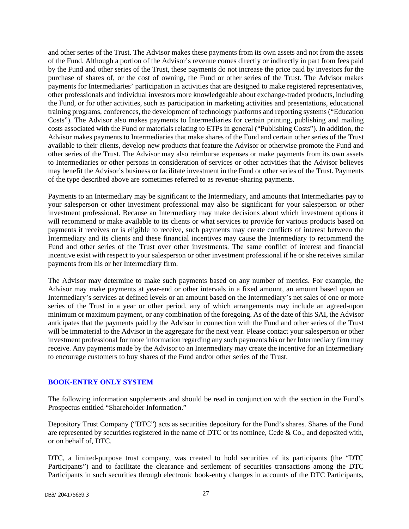and other series of the Trust. The Advisor makes these payments from its own assets and not from the assets of the Fund. Although a portion of the Advisor's revenue comes directly or indirectly in part from fees paid by the Fund and other series of the Trust, these payments do not increase the price paid by investors for the purchase of shares of, or the cost of owning, the Fund or other series of the Trust. The Advisor makes payments for Intermediaries' participation in activities that are designed to make registered representatives, other professionals and individual investors more knowledgeable about exchange-traded products, including the Fund, or for other activities, such as participation in marketing activities and presentations, educational training programs, conferences, the development of technology platforms and reporting systems ("Education Costs"). The Advisor also makes payments to Intermediaries for certain printing, publishing and mailing costs associated with the Fund or materials relating to ETPs in general ("Publishing Costs"). In addition, the Advisor makes payments to Intermediaries that make shares of the Fund and certain other series of the Trust available to their clients, develop new products that feature the Advisor or otherwise promote the Fund and other series of the Trust. The Advisor may also reimburse expenses or make payments from its own assets to Intermediaries or other persons in consideration of services or other activities that the Advisor believes may benefit the Advisor's business or facilitate investment in the Fund or other series of the Trust. Payments of the type described above are sometimes referred to as revenue-sharing payments.

Payments to an Intermediary may be significant to the Intermediary, and amounts that Intermediaries pay to your salesperson or other investment professional may also be significant for your salesperson or other investment professional. Because an Intermediary may make decisions about which investment options it will recommend or make available to its clients or what services to provide for various products based on payments it receives or is eligible to receive, such payments may create conflicts of interest between the Intermediary and its clients and these financial incentives may cause the Intermediary to recommend the Fund and other series of the Trust over other investments. The same conflict of interest and financial incentive exist with respect to your salesperson or other investment professional if he or she receives similar payments from his or her Intermediary firm.

The Advisor may determine to make such payments based on any number of metrics. For example, the Advisor may make payments at year-end or other intervals in a fixed amount, an amount based upon an Intermediary's services at defined levels or an amount based on the Intermediary's net sales of one or more series of the Trust in a year or other period, any of which arrangements may include an agreed-upon minimum or maximum payment, or any combination of the foregoing. As of the date of this SAI, the Advisor anticipates that the payments paid by the Advisor in connection with the Fund and other series of the Trust will be immaterial to the Advisor in the aggregate for the next year. Please contact your salesperson or other investment professional for more information regarding any such payments his or her Intermediary firm may receive. Any payments made by the Advisor to an Intermediary may create the incentive for an Intermediary to encourage customers to buy shares of the Fund and/or other series of the Trust.

### <span id="page-28-0"></span>**BOOK-ENTRY ONLY SYSTEM**

The following information supplements and should be read in conjunction with the section in the Fund's Prospectus entitled "Shareholder Information."

Depository Trust Company ("DTC") acts as securities depository for the Fund's shares. Shares of the Fund are represented by securities registered in the name of DTC or its nominee, Cede & Co., and deposited with, or on behalf of, DTC.

DTC, a limited-purpose trust company, was created to hold securities of its participants (the "DTC Participants") and to facilitate the clearance and settlement of securities transactions among the DTC Participants in such securities through electronic book-entry changes in accounts of the DTC Participants,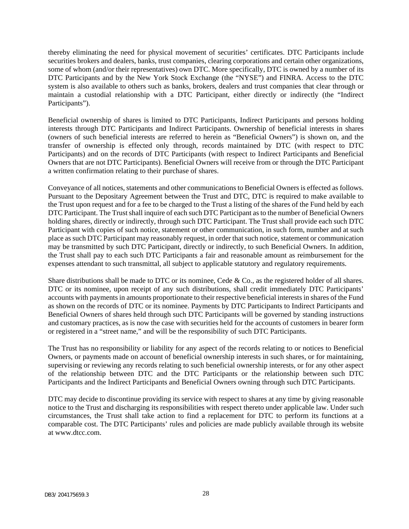thereby eliminating the need for physical movement of securities' certificates. DTC Participants include securities brokers and dealers, banks, trust companies, clearing corporations and certain other organizations, some of whom (and/or their representatives) own DTC. More specifically, DTC is owned by a number of its DTC Participants and by the New York Stock Exchange (the "NYSE") and FINRA. Access to the DTC system is also available to others such as banks, brokers, dealers and trust companies that clear through or maintain a custodial relationship with a DTC Participant, either directly or indirectly (the "Indirect Participants").

Beneficial ownership of shares is limited to DTC Participants, Indirect Participants and persons holding interests through DTC Participants and Indirect Participants. Ownership of beneficial interests in shares (owners of such beneficial interests are referred to herein as "Beneficial Owners") is shown on, and the transfer of ownership is effected only through, records maintained by DTC (with respect to DTC Participants) and on the records of DTC Participants (with respect to Indirect Participants and Beneficial Owners that are not DTC Participants). Beneficial Owners will receive from or through the DTC Participant a written confirmation relating to their purchase of shares.

Conveyance of all notices, statements and other communications to Beneficial Owners is effected as follows. Pursuant to the Depositary Agreement between the Trust and DTC, DTC is required to make available to the Trust upon request and for a fee to be charged to the Trust a listing of the shares of the Fund held by each DTC Participant. The Trust shall inquire of each such DTC Participant as to the number of Beneficial Owners holding shares, directly or indirectly, through such DTC Participant. The Trust shall provide each such DTC Participant with copies of such notice, statement or other communication, in such form, number and at such place as such DTC Participant may reasonably request, in order that such notice, statement or communication may be transmitted by such DTC Participant, directly or indirectly, to such Beneficial Owners. In addition, the Trust shall pay to each such DTC Participants a fair and reasonable amount as reimbursement for the expenses attendant to such transmittal, all subject to applicable statutory and regulatory requirements.

Share distributions shall be made to DTC or its nominee, Cede & Co., as the registered holder of all shares. DTC or its nominee, upon receipt of any such distributions, shall credit immediately DTC Participants' accounts with payments in amounts proportionate to their respective beneficial interests in shares of the Fund as shown on the records of DTC or its nominee. Payments by DTC Participants to Indirect Participants and Beneficial Owners of shares held through such DTC Participants will be governed by standing instructions and customary practices, as is now the case with securities held for the accounts of customers in bearer form or registered in a "street name," and will be the responsibility of such DTC Participants.

The Trust has no responsibility or liability for any aspect of the records relating to or notices to Beneficial Owners, or payments made on account of beneficial ownership interests in such shares, or for maintaining, supervising or reviewing any records relating to such beneficial ownership interests, or for any other aspect of the relationship between DTC and the DTC Participants or the relationship between such DTC Participants and the Indirect Participants and Beneficial Owners owning through such DTC Participants.

DTC may decide to discontinue providing its service with respect to shares at any time by giving reasonable notice to the Trust and discharging its responsibilities with respect thereto under applicable law. Under such circumstances, the Trust shall take action to find a replacement for DTC to perform its functions at a comparable cost. The DTC Participants' rules and policies are made publicly available through its website at www.dtcc.com.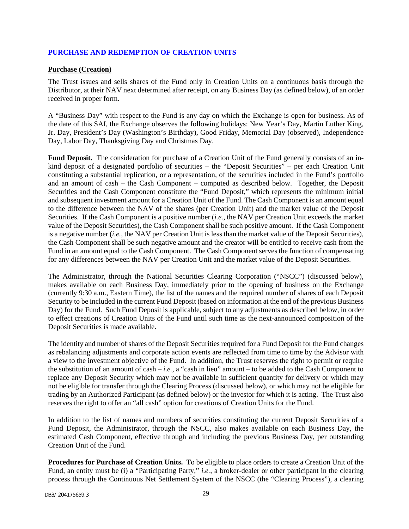### <span id="page-30-0"></span>**PURCHASE AND REDEMPTION OF CREATION UNITS**

### **Purchase (Creation)**

The Trust issues and sells shares of the Fund only in Creation Units on a continuous basis through the Distributor, at their NAV next determined after receipt, on any Business Day (as defined below), of an order received in proper form.

A "Business Day" with respect to the Fund is any day on which the Exchange is open for business. As of the date of this SAI, the Exchange observes the following holidays: New Year's Day, Martin Luther King, Jr. Day, President's Day (Washington's Birthday), Good Friday, Memorial Day (observed), Independence Day, Labor Day, Thanksgiving Day and Christmas Day.

Fund Deposit. The consideration for purchase of a Creation Unit of the Fund generally consists of an inkind deposit of a designated portfolio of securities – the "Deposit Securities" – per each Creation Unit constituting a substantial replication, or a representation, of the securities included in the Fund's portfolio and an amount of cash – the Cash Component – computed as described below. Together, the Deposit Securities and the Cash Component constitute the "Fund Deposit," which represents the minimum initial and subsequent investment amount for a Creation Unit of the Fund. The Cash Component is an amount equal to the difference between the NAV of the shares (per Creation Unit) and the market value of the Deposit Securities. If the Cash Component is a positive number (*i.e.*, the NAV per Creation Unit exceeds the market value of the Deposit Securities), the Cash Component shall be such positive amount. If the Cash Component is a negative number (*i.e.*, the NAV per Creation Unit is less than the market value of the Deposit Securities), the Cash Component shall be such negative amount and the creator will be entitled to receive cash from the Fund in an amount equal to the Cash Component. The Cash Component serves the function of compensating for any differences between the NAV per Creation Unit and the market value of the Deposit Securities.

The Administrator, through the National Securities Clearing Corporation ("NSCC") (discussed below), makes available on each Business Day, immediately prior to the opening of business on the Exchange (currently 9:30 a.m., Eastern Time), the list of the names and the required number of shares of each Deposit Security to be included in the current Fund Deposit (based on information at the end of the previous Business Day) for the Fund. Such Fund Deposit is applicable, subject to any adjustments as described below, in order to effect creations of Creation Units of the Fund until such time as the next-announced composition of the Deposit Securities is made available.

The identity and number of shares of the Deposit Securities required for a Fund Deposit for the Fund changes as rebalancing adjustments and corporate action events are reflected from time to time by the Advisor with a view to the investment objective of the Fund. In addition, the Trust reserves the right to permit or require the substitution of an amount of cash – *i.e.*, a "cash in lieu" amount – to be added to the Cash Component to replace any Deposit Security which may not be available in sufficient quantity for delivery or which may not be eligible for transfer through the Clearing Process (discussed below), or which may not be eligible for trading by an Authorized Participant (as defined below) or the investor for which it is acting. The Trust also reserves the right to offer an "all cash" option for creations of Creation Units for the Fund.

In addition to the list of names and numbers of securities constituting the current Deposit Securities of a Fund Deposit, the Administrator, through the NSCC, also makes available on each Business Day, the estimated Cash Component, effective through and including the previous Business Day, per outstanding Creation Unit of the Fund.

**Procedures for Purchase of Creation Units.** To be eligible to place orders to create a Creation Unit of the Fund, an entity must be (i) a "Participating Party," *i.e.*, a broker-dealer or other participant in the clearing process through the Continuous Net Settlement System of the NSCC (the "Clearing Process"), a clearing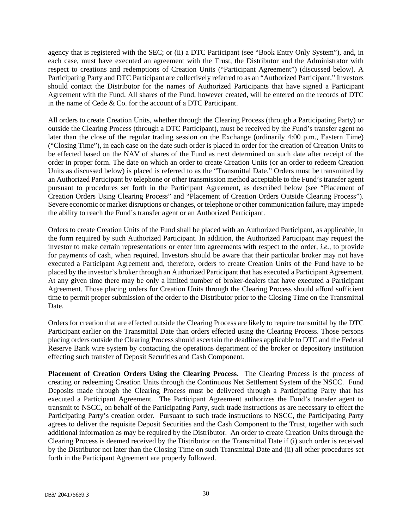agency that is registered with the SEC; or (ii) a DTC Participant (see "Book Entry Only System"), and, in each case, must have executed an agreement with the Trust, the Distributor and the Administrator with respect to creations and redemptions of Creation Units ("Participant Agreement") (discussed below). A Participating Party and DTC Participant are collectively referred to as an "Authorized Participant." Investors should contact the Distributor for the names of Authorized Participants that have signed a Participant Agreement with the Fund. All shares of the Fund, however created, will be entered on the records of DTC in the name of Cede & Co. for the account of a DTC Participant.

All orders to create Creation Units, whether through the Clearing Process (through a Participating Party) or outside the Clearing Process (through a DTC Participant), must be received by the Fund's transfer agent no later than the close of the regular trading session on the Exchange (ordinarily 4:00 p.m., Eastern Time) ("Closing Time"), in each case on the date such order is placed in order for the creation of Creation Units to be effected based on the NAV of shares of the Fund as next determined on such date after receipt of the order in proper form. The date on which an order to create Creation Units (or an order to redeem Creation Units as discussed below) is placed is referred to as the "Transmittal Date." Orders must be transmitted by an Authorized Participant by telephone or other transmission method acceptable to the Fund's transfer agent pursuant to procedures set forth in the Participant Agreement, as described below (see "Placement of Creation Orders Using Clearing Process" and "Placement of Creation Orders Outside Clearing Process"). Severe economic or market disruptions or changes, or telephone or other communication failure, may impede the ability to reach the Fund's transfer agent or an Authorized Participant.

Orders to create Creation Units of the Fund shall be placed with an Authorized Participant, as applicable, in the form required by such Authorized Participant. In addition, the Authorized Participant may request the investor to make certain representations or enter into agreements with respect to the order, *i.e.*, to provide for payments of cash, when required. Investors should be aware that their particular broker may not have executed a Participant Agreement and, therefore, orders to create Creation Units of the Fund have to be placed by the investor's broker through an Authorized Participant that has executed a Participant Agreement. At any given time there may be only a limited number of broker-dealers that have executed a Participant Agreement. Those placing orders for Creation Units through the Clearing Process should afford sufficient time to permit proper submission of the order to the Distributor prior to the Closing Time on the Transmittal Date.

Orders for creation that are effected outside the Clearing Process are likely to require transmittal by the DTC Participant earlier on the Transmittal Date than orders effected using the Clearing Process. Those persons placing orders outside the Clearing Process should ascertain the deadlines applicable to DTC and the Federal Reserve Bank wire system by contacting the operations department of the broker or depository institution effecting such transfer of Deposit Securities and Cash Component.

**Placement of Creation Orders Using the Clearing Process.** The Clearing Process is the process of creating or redeeming Creation Units through the Continuous Net Settlement System of the NSCC. Fund Deposits made through the Clearing Process must be delivered through a Participating Party that has executed a Participant Agreement. The Participant Agreement authorizes the Fund's transfer agent to transmit to NSCC, on behalf of the Participating Party, such trade instructions as are necessary to effect the Participating Party's creation order. Pursuant to such trade instructions to NSCC, the Participating Party agrees to deliver the requisite Deposit Securities and the Cash Component to the Trust, together with such additional information as may be required by the Distributor. An order to create Creation Units through the Clearing Process is deemed received by the Distributor on the Transmittal Date if (i) such order is received by the Distributor not later than the Closing Time on such Transmittal Date and (ii) all other procedures set forth in the Participant Agreement are properly followed.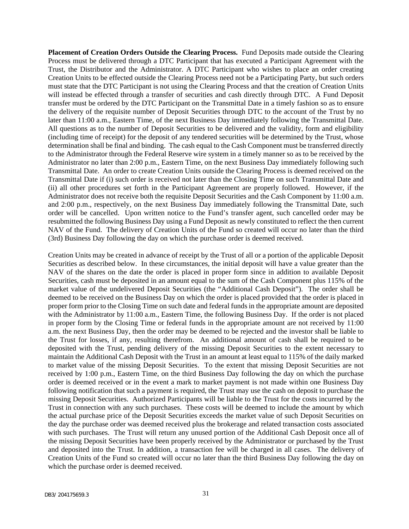**Placement of Creation Orders Outside the Clearing Process.** Fund Deposits made outside the Clearing Process must be delivered through a DTC Participant that has executed a Participant Agreement with the Trust, the Distributor and the Administrator. A DTC Participant who wishes to place an order creating Creation Units to be effected outside the Clearing Process need not be a Participating Party, but such orders must state that the DTC Participant is not using the Clearing Process and that the creation of Creation Units will instead be effected through a transfer of securities and cash directly through DTC. A Fund Deposit transfer must be ordered by the DTC Participant on the Transmittal Date in a timely fashion so as to ensure the delivery of the requisite number of Deposit Securities through DTC to the account of the Trust by no later than 11:00 a.m., Eastern Time, of the next Business Day immediately following the Transmittal Date. All questions as to the number of Deposit Securities to be delivered and the validity, form and eligibility (including time of receipt) for the deposit of any tendered securities will be determined by the Trust, whose determination shall be final and binding. The cash equal to the Cash Component must be transferred directly to the Administrator through the Federal Reserve wire system in a timely manner so as to be received by the Administrator no later than 2:00 p.m., Eastern Time, on the next Business Day immediately following such Transmittal Date. An order to create Creation Units outside the Clearing Process is deemed received on the Transmittal Date if (i) such order is received not later than the Closing Time on such Transmittal Date and (ii) all other procedures set forth in the Participant Agreement are properly followed. However, if the Administrator does not receive both the requisite Deposit Securities and the Cash Component by 11:00 a.m. and 2:00 p.m., respectively, on the next Business Day immediately following the Transmittal Date, such order will be cancelled. Upon written notice to the Fund's transfer agent, such cancelled order may be resubmitted the following Business Day using a Fund Deposit as newly constituted to reflect the then current NAV of the Fund. The delivery of Creation Units of the Fund so created will occur no later than the third (3rd) Business Day following the day on which the purchase order is deemed received.

Creation Units may be created in advance of receipt by the Trust of all or a portion of the applicable Deposit Securities as described below. In these circumstances, the initial deposit will have a value greater than the NAV of the shares on the date the order is placed in proper form since in addition to available Deposit Securities, cash must be deposited in an amount equal to the sum of the Cash Component plus 115% of the market value of the undelivered Deposit Securities (the "Additional Cash Deposit"). The order shall be deemed to be received on the Business Day on which the order is placed provided that the order is placed in proper form prior to the Closing Time on such date and federal funds in the appropriate amount are deposited with the Administrator by 11:00 a.m., Eastern Time, the following Business Day. If the order is not placed in proper form by the Closing Time or federal funds in the appropriate amount are not received by 11:00 a.m. the next Business Day, then the order may be deemed to be rejected and the investor shall be liable to the Trust for losses, if any, resulting therefrom. An additional amount of cash shall be required to be deposited with the Trust, pending delivery of the missing Deposit Securities to the extent necessary to maintain the Additional Cash Deposit with the Trust in an amount at least equal to 115% of the daily marked to market value of the missing Deposit Securities. To the extent that missing Deposit Securities are not received by 1:00 p.m., Eastern Time, on the third Business Day following the day on which the purchase order is deemed received or in the event a mark to market payment is not made within one Business Day following notification that such a payment is required, the Trust may use the cash on deposit to purchase the missing Deposit Securities. Authorized Participants will be liable to the Trust for the costs incurred by the Trust in connection with any such purchases. These costs will be deemed to include the amount by which the actual purchase price of the Deposit Securities exceeds the market value of such Deposit Securities on the day the purchase order was deemed received plus the brokerage and related transaction costs associated with such purchases. The Trust will return any unused portion of the Additional Cash Deposit once all of the missing Deposit Securities have been properly received by the Administrator or purchased by the Trust and deposited into the Trust. In addition, a transaction fee will be charged in all cases. The delivery of Creation Units of the Fund so created will occur no later than the third Business Day following the day on which the purchase order is deemed received.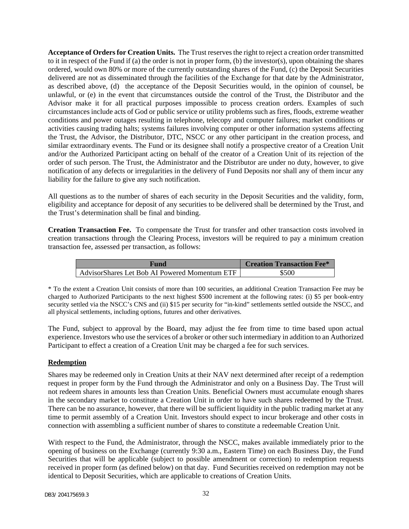**Acceptance of Orders for Creation Units.** The Trust reserves the right to reject a creation order transmitted to it in respect of the Fund if (a) the order is not in proper form, (b) the investor(s), upon obtaining the shares ordered, would own 80% or more of the currently outstanding shares of the Fund, (c) the Deposit Securities delivered are not as disseminated through the facilities of the Exchange for that date by the Administrator, as described above, (d) the acceptance of the Deposit Securities would, in the opinion of counsel, be unlawful, or (e) in the event that circumstances outside the control of the Trust, the Distributor and the Advisor make it for all practical purposes impossible to process creation orders. Examples of such circumstances include acts of God or public service or utility problems such as fires, floods, extreme weather conditions and power outages resulting in telephone, telecopy and computer failures; market conditions or activities causing trading halts; systems failures involving computer or other information systems affecting the Trust, the Advisor, the Distributor, DTC, NSCC or any other participant in the creation process, and similar extraordinary events. The Fund or its designee shall notify a prospective creator of a Creation Unit and/or the Authorized Participant acting on behalf of the creator of a Creation Unit of its rejection of the order of such person. The Trust, the Administrator and the Distributor are under no duty, however, to give notification of any defects or irregularities in the delivery of Fund Deposits nor shall any of them incur any liability for the failure to give any such notification.

All questions as to the number of shares of each security in the Deposit Securities and the validity, form, eligibility and acceptance for deposit of any securities to be delivered shall be determined by the Trust, and the Trust's determination shall be final and binding.

**Creation Transaction Fee.** To compensate the Trust for transfer and other transaction costs involved in creation transactions through the Clearing Process, investors will be required to pay a minimum creation transaction fee, assessed per transaction, as follows:

| Fund                                          | <b>Creation Transaction Fee*</b> |
|-----------------------------------------------|----------------------------------|
| AdvisorShares Let Bob AI Powered Momentum ETF | \$500                            |

\* To the extent a Creation Unit consists of more than 100 securities, an additional Creation Transaction Fee may be charged to Authorized Participants to the next highest \$500 increment at the following rates: (i) \$5 per book-entry security settled via the NSCC's CNS and (ii) \$15 per security for "in-kind" settlements settled outside the NSCC, and all physical settlements, including options, futures and other derivatives.

The Fund, subject to approval by the Board, may adjust the fee from time to time based upon actual experience. Investors who use the services of a broker or other such intermediary in addition to an Authorized Participant to effect a creation of a Creation Unit may be charged a fee for such services.

### **Redemption**

Shares may be redeemed only in Creation Units at their NAV next determined after receipt of a redemption request in proper form by the Fund through the Administrator and only on a Business Day. The Trust will not redeem shares in amounts less than Creation Units. Beneficial Owners must accumulate enough shares in the secondary market to constitute a Creation Unit in order to have such shares redeemed by the Trust. There can be no assurance, however, that there will be sufficient liquidity in the public trading market at any time to permit assembly of a Creation Unit. Investors should expect to incur brokerage and other costs in connection with assembling a sufficient number of shares to constitute a redeemable Creation Unit.

With respect to the Fund, the Administrator, through the NSCC, makes available immediately prior to the opening of business on the Exchange (currently 9:30 a.m., Eastern Time) on each Business Day, the Fund Securities that will be applicable (subject to possible amendment or correction) to redemption requests received in proper form (as defined below) on that day. Fund Securities received on redemption may not be identical to Deposit Securities, which are applicable to creations of Creation Units.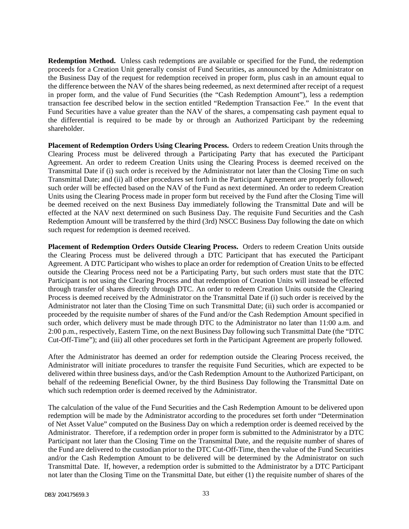**Redemption Method.** Unless cash redemptions are available or specified for the Fund, the redemption proceeds for a Creation Unit generally consist of Fund Securities, as announced by the Administrator on the Business Day of the request for redemption received in proper form, plus cash in an amount equal to the difference between the NAV of the shares being redeemed, as next determined after receipt of a request in proper form, and the value of Fund Securities (the "Cash Redemption Amount"), less a redemption transaction fee described below in the section entitled "Redemption Transaction Fee." In the event that Fund Securities have a value greater than the NAV of the shares, a compensating cash payment equal to the differential is required to be made by or through an Authorized Participant by the redeeming shareholder.

**Placement of Redemption Orders Using Clearing Process.** Orders to redeem Creation Units through the Clearing Process must be delivered through a Participating Party that has executed the Participant Agreement. An order to redeem Creation Units using the Clearing Process is deemed received on the Transmittal Date if (i) such order is received by the Administrator not later than the Closing Time on such Transmittal Date; and (ii) all other procedures set forth in the Participant Agreement are properly followed; such order will be effected based on the NAV of the Fund as next determined. An order to redeem Creation Units using the Clearing Process made in proper form but received by the Fund after the Closing Time will be deemed received on the next Business Day immediately following the Transmittal Date and will be effected at the NAV next determined on such Business Day. The requisite Fund Securities and the Cash Redemption Amount will be transferred by the third (3rd) NSCC Business Day following the date on which such request for redemption is deemed received.

**Placement of Redemption Orders Outside Clearing Process.** Orders to redeem Creation Units outside the Clearing Process must be delivered through a DTC Participant that has executed the Participant Agreement. A DTC Participant who wishes to place an order for redemption of Creation Units to be effected outside the Clearing Process need not be a Participating Party, but such orders must state that the DTC Participant is not using the Clearing Process and that redemption of Creation Units will instead be effected through transfer of shares directly through DTC. An order to redeem Creation Units outside the Clearing Process is deemed received by the Administrator on the Transmittal Date if (i) such order is received by the Administrator not later than the Closing Time on such Transmittal Date; (ii) such order is accompanied or proceeded by the requisite number of shares of the Fund and/or the Cash Redemption Amount specified in such order, which delivery must be made through DTC to the Administrator no later than 11:00 a.m. and 2:00 p.m., respectively, Eastern Time, on the next Business Day following such Transmittal Date (the "DTC Cut-Off-Time"); and (iii) all other procedures set forth in the Participant Agreement are properly followed.

After the Administrator has deemed an order for redemption outside the Clearing Process received, the Administrator will initiate procedures to transfer the requisite Fund Securities, which are expected to be delivered within three business days, and/or the Cash Redemption Amount to the Authorized Participant, on behalf of the redeeming Beneficial Owner, by the third Business Day following the Transmittal Date on which such redemption order is deemed received by the Administrator.

The calculation of the value of the Fund Securities and the Cash Redemption Amount to be delivered upon redemption will be made by the Administrator according to the procedures set forth under "Determination of Net Asset Value" computed on the Business Day on which a redemption order is deemed received by the Administrator. Therefore, if a redemption order in proper form is submitted to the Administrator by a DTC Participant not later than the Closing Time on the Transmittal Date, and the requisite number of shares of the Fund are delivered to the custodian prior to the DTC Cut-Off-Time, then the value of the Fund Securities and/or the Cash Redemption Amount to be delivered will be determined by the Administrator on such Transmittal Date. If, however, a redemption order is submitted to the Administrator by a DTC Participant not later than the Closing Time on the Transmittal Date, but either (1) the requisite number of shares of the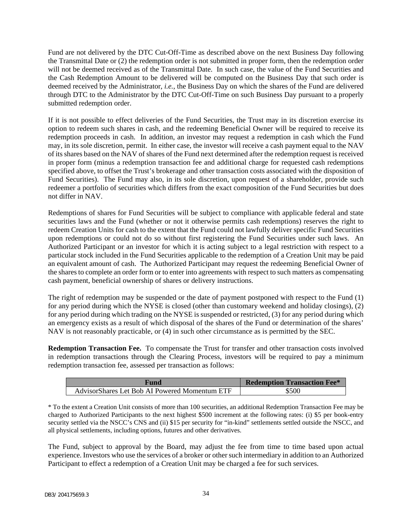Fund are not delivered by the DTC Cut-Off-Time as described above on the next Business Day following the Transmittal Date or (2) the redemption order is not submitted in proper form, then the redemption order will not be deemed received as of the Transmittal Date. In such case, the value of the Fund Securities and the Cash Redemption Amount to be delivered will be computed on the Business Day that such order is deemed received by the Administrator, *i.e.*, the Business Day on which the shares of the Fund are delivered through DTC to the Administrator by the DTC Cut-Off-Time on such Business Day pursuant to a properly submitted redemption order.

If it is not possible to effect deliveries of the Fund Securities, the Trust may in its discretion exercise its option to redeem such shares in cash, and the redeeming Beneficial Owner will be required to receive its redemption proceeds in cash. In addition, an investor may request a redemption in cash which the Fund may, in its sole discretion, permit. In either case, the investor will receive a cash payment equal to the NAV of its shares based on the NAV of shares of the Fund next determined after the redemption request is received in proper form (minus a redemption transaction fee and additional charge for requested cash redemptions specified above, to offset the Trust's brokerage and other transaction costs associated with the disposition of Fund Securities). The Fund may also, in its sole discretion, upon request of a shareholder, provide such redeemer a portfolio of securities which differs from the exact composition of the Fund Securities but does not differ in NAV.

Redemptions of shares for Fund Securities will be subject to compliance with applicable federal and state securities laws and the Fund (whether or not it otherwise permits cash redemptions) reserves the right to redeem Creation Units for cash to the extent that the Fund could not lawfully deliver specific Fund Securities upon redemptions or could not do so without first registering the Fund Securities under such laws. An Authorized Participant or an investor for which it is acting subject to a legal restriction with respect to a particular stock included in the Fund Securities applicable to the redemption of a Creation Unit may be paid an equivalent amount of cash. The Authorized Participant may request the redeeming Beneficial Owner of the shares to complete an order form or to enter into agreements with respect to such matters as compensating cash payment, beneficial ownership of shares or delivery instructions.

The right of redemption may be suspended or the date of payment postponed with respect to the Fund (1) for any period during which the NYSE is closed (other than customary weekend and holiday closings), (2) for any period during which trading on the NYSE is suspended or restricted, (3) for any period during which an emergency exists as a result of which disposal of the shares of the Fund or determination of the shares' NAV is not reasonably practicable, or (4) in such other circumstance as is permitted by the SEC.

**Redemption Transaction Fee.** To compensate the Trust for transfer and other transaction costs involved in redemption transactions through the Clearing Process, investors will be required to pay a minimum redemption transaction fee, assessed per transaction as follows:

| Fund                                           | <b>Redemption Transaction Fee*</b> |
|------------------------------------------------|------------------------------------|
| Advisor Shares Let Bob AI Powered Momentum ETF | \$500                              |

\* To the extent a Creation Unit consists of more than 100 securities, an additional Redemption Transaction Fee may be charged to Authorized Participants to the next highest \$500 increment at the following rates: (i) \$5 per book-entry security settled via the NSCC's CNS and (ii) \$15 per security for "in-kind" settlements settled outside the NSCC, and all physical settlements, including options, futures and other derivatives.

The Fund, subject to approval by the Board, may adjust the fee from time to time based upon actual experience. Investors who use the services of a broker or other such intermediary in addition to an Authorized Participant to effect a redemption of a Creation Unit may be charged a fee for such services.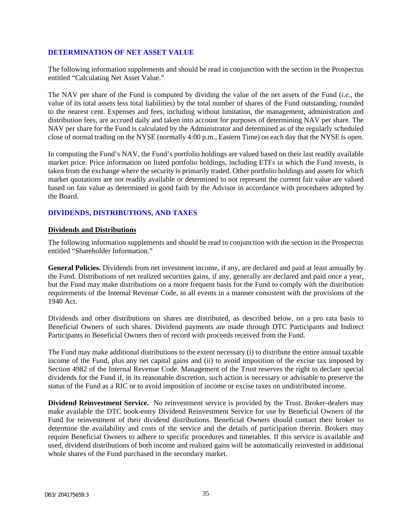#### <span id="page-36-0"></span>**DETERMINATION OF NET ASSET VALUE**

The following information supplements and should be read in conjunction with the section in the Prospectus entitled "Calculating Net Asset Value."

The NAV per share of the Fund is computed by dividing the value of the net assets of the Fund (*i.e.*, the value of its total assets less total liabilities) by the total number of shares of the Fund outstanding, rounded to the nearest cent. Expenses and fees, including without limitation, the management, administration and distribution fees, are accrued daily and taken into account for purposes of determining NAV per share. The NAV per share for the Fund is calculated by the Administrator and determined as of the regularly scheduled close of normal trading on the NYSE (normally 4:00 p.m., Eastern Time) on each day that the NYSE is open.

In computing the Fund's NAV, the Fund's portfolio holdings are valued based on their last readily available market price. Price information on listed portfolio holdings, including ETFs in which the Fund invests, is taken from the exchange where the security is primarily traded. Other portfolio holdings and assets for which market quotations are not readily available or determined to not represent the current fair value are valued based on fair value as determined in good faith by the Advisor in accordance with procedures adopted by the Board.

# <span id="page-36-1"></span>**DIVIDENDS, DISTRIBUTIONS, AND TAXES**

### **Dividends and Distributions**

The following information supplements and should be read in conjunction with the section in the Prospectus entitled "Shareholder Information."

**General Policies.** Dividends from net investment income, if any, are declared and paid at least annually by the Fund. Distributions of net realized securities gains, if any, generally are declared and paid once a year, but the Fund may make distributions on a more frequent basis for the Fund to comply with the distribution requirements of the Internal Revenue Code, in all events in a manner consistent with the provisions of the 1940 Act.

Dividends and other distributions on shares are distributed, as described below, on a pro rata basis to Beneficial Owners of such shares. Dividend payments are made through DTC Participants and Indirect Participants to Beneficial Owners then of record with proceeds received from the Fund.

The Fund may make additional distributions to the extent necessary (i) to distribute the entire annual taxable income of the Fund, plus any net capital gains and (ii) to avoid imposition of the excise tax imposed by Section 4982 of the Internal Revenue Code. Management of the Trust reserves the right to declare special dividends for the Fund if, in its reasonable discretion, such action is necessary or advisable to preserve the status of the Fund as a RIC or to avoid imposition of income or excise taxes on undistributed income.

**Dividend Reinvestment Service.** No reinvestment service is provided by the Trust. Broker-dealers may make available the DTC book-entry Dividend Reinvestment Service for use by Beneficial Owners of the Fund for reinvestment of their dividend distributions. Beneficial Owners should contact their broker to determine the availability and costs of the service and the details of participation therein. Brokers may require Beneficial Owners to adhere to specific procedures and timetables. If this service is available and used, dividend distributions of both income and realized gains will be automatically reinvested in additional whole shares of the Fund purchased in the secondary market.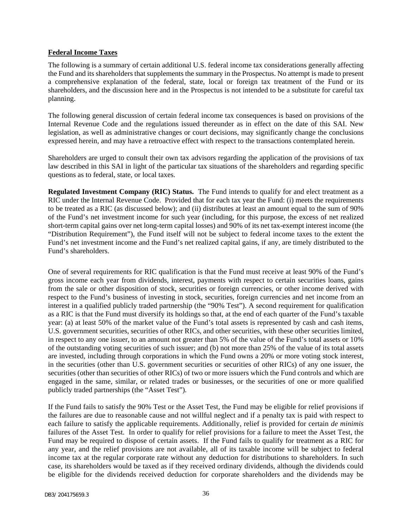#### **Federal Income Taxes**

The following is a summary of certain additional U.S. federal income tax considerations generally affecting the Fund and its shareholders that supplements the summary in the Prospectus. No attempt is made to present a comprehensive explanation of the federal, state, local or foreign tax treatment of the Fund or its shareholders, and the discussion here and in the Prospectus is not intended to be a substitute for careful tax planning.

The following general discussion of certain federal income tax consequences is based on provisions of the Internal Revenue Code and the regulations issued thereunder as in effect on the date of this SAI. New legislation, as well as administrative changes or court decisions, may significantly change the conclusions expressed herein, and may have a retroactive effect with respect to the transactions contemplated herein.

Shareholders are urged to consult their own tax advisors regarding the application of the provisions of tax law described in this SAI in light of the particular tax situations of the shareholders and regarding specific questions as to federal, state, or local taxes.

**Regulated Investment Company (RIC) Status.** The Fund intends to qualify for and elect treatment as a RIC under the Internal Revenue Code. Provided that for each tax year the Fund: (i) meets the requirements to be treated as a RIC (as discussed below); and (ii) distributes at least an amount equal to the sum of 90% of the Fund's net investment income for such year (including, for this purpose, the excess of net realized short-term capital gains over net long-term capital losses) and 90% of its net tax-exempt interest income (the "Distribution Requirement"), the Fund itself will not be subject to federal income taxes to the extent the Fund's net investment income and the Fund's net realized capital gains, if any, are timely distributed to the Fund's shareholders.

One of several requirements for RIC qualification is that the Fund must receive at least 90% of the Fund's gross income each year from dividends, interest, payments with respect to certain securities loans, gains from the sale or other disposition of stock, securities or foreign currencies, or other income derived with respect to the Fund's business of investing in stock, securities, foreign currencies and net income from an interest in a qualified publicly traded partnership (the "90% Test"). A second requirement for qualification as a RIC is that the Fund must diversify its holdings so that, at the end of each quarter of the Fund's taxable year: (a) at least 50% of the market value of the Fund's total assets is represented by cash and cash items, U.S. government securities, securities of other RICs, and other securities, with these other securities limited, in respect to any one issuer, to an amount not greater than 5% of the value of the Fund's total assets or 10% of the outstanding voting securities of such issuer; and (b) not more than 25% of the value of its total assets are invested, including through corporations in which the Fund owns a 20% or more voting stock interest, in the securities (other than U.S. government securities or securities of other RICs) of any one issuer, the securities (other than securities of other RICs) of two or more issuers which the Fund controls and which are engaged in the same, similar, or related trades or businesses, or the securities of one or more qualified publicly traded partnerships (the "Asset Test").

If the Fund fails to satisfy the 90% Test or the Asset Test, the Fund may be eligible for relief provisions if the failures are due to reasonable cause and not willful neglect and if a penalty tax is paid with respect to each failure to satisfy the applicable requirements. Additionally, relief is provided for certain *de minimis*  failures of the Asset Test. In order to qualify for relief provisions for a failure to meet the Asset Test, the Fund may be required to dispose of certain assets. If the Fund fails to qualify for treatment as a RIC for any year, and the relief provisions are not available, all of its taxable income will be subject to federal income tax at the regular corporate rate without any deduction for distributions to shareholders. In such case, its shareholders would be taxed as if they received ordinary dividends, although the dividends could be eligible for the dividends received deduction for corporate shareholders and the dividends may be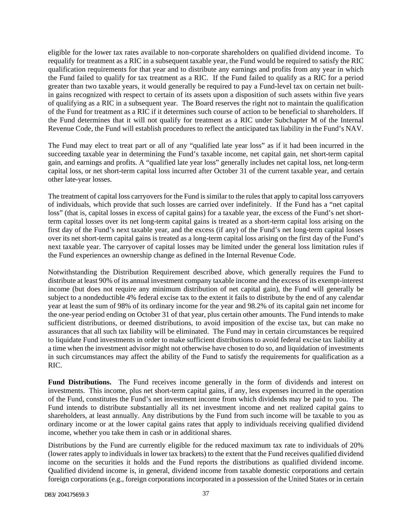eligible for the lower tax rates available to non-corporate shareholders on qualified dividend income. To requalify for treatment as a RIC in a subsequent taxable year, the Fund would be required to satisfy the RIC qualification requirements for that year and to distribute any earnings and profits from any year in which the Fund failed to qualify for tax treatment as a RIC. If the Fund failed to qualify as a RIC for a period greater than two taxable years, it would generally be required to pay a Fund-level tax on certain net builtin gains recognized with respect to certain of its assets upon a disposition of such assets within five years of qualifying as a RIC in a subsequent year. The Board reserves the right not to maintain the qualification of the Fund for treatment as a RIC if it determines such course of action to be beneficial to shareholders. If the Fund determines that it will not qualify for treatment as a RIC under Subchapter M of the Internal Revenue Code, the Fund will establish procedures to reflect the anticipated tax liability in the Fund's NAV.

The Fund may elect to treat part or all of any "qualified late year loss" as if it had been incurred in the succeeding taxable year in determining the Fund's taxable income, net capital gain, net short-term capital gain, and earnings and profits. A "qualified late year loss" generally includes net capital loss, net long-term capital loss, or net short-term capital loss incurred after October 31 of the current taxable year, and certain other late-year losses.

The treatment of capital loss carryovers for the Fund is similar to the rules that apply to capital loss carryovers of individuals, which provide that such losses are carried over indefinitely. If the Fund has a "net capital loss" (that is, capital losses in excess of capital gains) for a taxable year, the excess of the Fund's net shortterm capital losses over its net long-term capital gains is treated as a short-term capital loss arising on the first day of the Fund's next taxable year, and the excess (if any) of the Fund's net long-term capital losses over its net short-term capital gains is treated as a long-term capital loss arising on the first day of the Fund's next taxable year. The carryover of capital losses may be limited under the general loss limitation rules if the Fund experiences an ownership change as defined in the Internal Revenue Code.

Notwithstanding the Distribution Requirement described above, which generally requires the Fund to distribute at least 90% of its annual investment company taxable income and the excess of its exempt-interest income (but does not require any minimum distribution of net capital gain), the Fund will generally be subject to a nondeductible 4% federal excise tax to the extent it fails to distribute by the end of any calendar year at least the sum of 98% of its ordinary income for the year and 98.2% of its capital gain net income for the one-year period ending on October 31 of that year, plus certain other amounts. The Fund intends to make sufficient distributions, or deemed distributions, to avoid imposition of the excise tax, but can make no assurances that all such tax liability will be eliminated. The Fund may in certain circumstances be required to liquidate Fund investments in order to make sufficient distributions to avoid federal excise tax liability at a time when the investment advisor might not otherwise have chosen to do so, and liquidation of investments in such circumstances may affect the ability of the Fund to satisfy the requirements for qualification as a RIC.

**Fund Distributions.** The Fund receives income generally in the form of dividends and interest on investments. This income, plus net short-term capital gains, if any, less expenses incurred in the operation of the Fund, constitutes the Fund's net investment income from which dividends may be paid to you. The Fund intends to distribute substantially all its net investment income and net realized capital gains to shareholders, at least annually. Any distributions by the Fund from such income will be taxable to you as ordinary income or at the lower capital gains rates that apply to individuals receiving qualified dividend income, whether you take them in cash or in additional shares.

Distributions by the Fund are currently eligible for the reduced maximum tax rate to individuals of 20% (lower rates apply to individuals in lower tax brackets) to the extent that the Fund receives qualified dividend income on the securities it holds and the Fund reports the distributions as qualified dividend income. Qualified dividend income is, in general, dividend income from taxable domestic corporations and certain foreign corporations (e.g., foreign corporations incorporated in a possession of the United States or in certain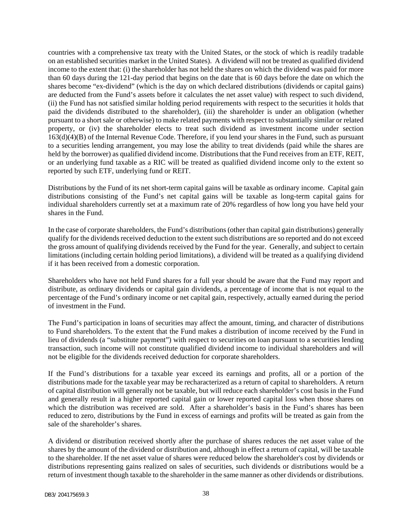countries with a comprehensive tax treaty with the United States, or the stock of which is readily tradable on an established securities market in the United States). A dividend will not be treated as qualified dividend income to the extent that: (i) the shareholder has not held the shares on which the dividend was paid for more than 60 days during the 121-day period that begins on the date that is 60 days before the date on which the shares become "ex-dividend" (which is the day on which declared distributions (dividends or capital gains) are deducted from the Fund's assets before it calculates the net asset value) with respect to such dividend, (ii) the Fund has not satisfied similar holding period requirements with respect to the securities it holds that paid the dividends distributed to the shareholder), (iii) the shareholder is under an obligation (whether pursuant to a short sale or otherwise) to make related payments with respect to substantially similar or related property, or (iv) the shareholder elects to treat such dividend as investment income under section  $163(d)(4)(B)$  of the Internal Revenue Code. Therefore, if you lend your shares in the Fund, such as pursuant to a securities lending arrangement, you may lose the ability to treat dividends (paid while the shares are held by the borrower) as qualified dividend income. Distributions that the Fund receives from an ETF, REIT, or an underlying fund taxable as a RIC will be treated as qualified dividend income only to the extent so reported by such ETF, underlying fund or REIT.

Distributions by the Fund of its net short-term capital gains will be taxable as ordinary income. Capital gain distributions consisting of the Fund's net capital gains will be taxable as long-term capital gains for individual shareholders currently set at a maximum rate of 20% regardless of how long you have held your shares in the Fund.

In the case of corporate shareholders, the Fund's distributions (other than capital gain distributions) generally qualify for the dividends received deduction to the extent such distributions are so reported and do not exceed the gross amount of qualifying dividends received by the Fund for the year. Generally, and subject to certain limitations (including certain holding period limitations), a dividend will be treated as a qualifying dividend if it has been received from a domestic corporation.

Shareholders who have not held Fund shares for a full year should be aware that the Fund may report and distribute, as ordinary dividends or capital gain dividends, a percentage of income that is not equal to the percentage of the Fund's ordinary income or net capital gain, respectively, actually earned during the period of investment in the Fund.

The Fund's participation in loans of securities may affect the amount, timing, and character of distributions to Fund shareholders. To the extent that the Fund makes a distribution of income received by the Fund in lieu of dividends (a "substitute payment") with respect to securities on loan pursuant to a securities lending transaction, such income will not constitute qualified dividend income to individual shareholders and will not be eligible for the dividends received deduction for corporate shareholders.

If the Fund's distributions for a taxable year exceed its earnings and profits, all or a portion of the distributions made for the taxable year may be recharacterized as a return of capital to shareholders. A return of capital distribution will generally not be taxable, but will reduce each shareholder's cost basis in the Fund and generally result in a higher reported capital gain or lower reported capital loss when those shares on which the distribution was received are sold. After a shareholder's basis in the Fund's shares has been reduced to zero, distributions by the Fund in excess of earnings and profits will be treated as gain from the sale of the shareholder's shares.

A dividend or distribution received shortly after the purchase of shares reduces the net asset value of the shares by the amount of the dividend or distribution and, although in effect a return of capital, will be taxable to the shareholder. If the net asset value of shares were reduced below the shareholder's cost by dividends or distributions representing gains realized on sales of securities, such dividends or distributions would be a return of investment though taxable to the shareholder in the same manner as other dividends or distributions.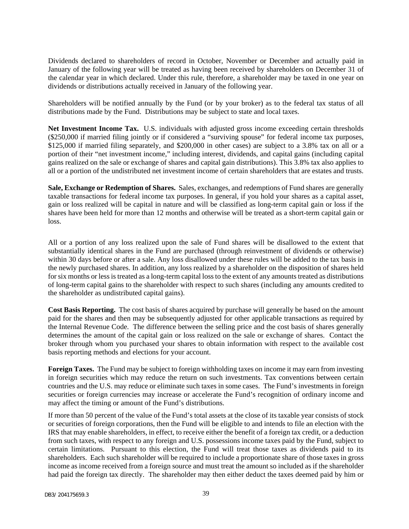Dividends declared to shareholders of record in October, November or December and actually paid in January of the following year will be treated as having been received by shareholders on December 31 of the calendar year in which declared. Under this rule, therefore, a shareholder may be taxed in one year on dividends or distributions actually received in January of the following year.

Shareholders will be notified annually by the Fund (or by your broker) as to the federal tax status of all distributions made by the Fund. Distributions may be subject to state and local taxes.

**Net Investment Income Tax.** U.S. individuals with adjusted gross income exceeding certain thresholds (\$250,000 if married filing jointly or if considered a "surviving spouse" for federal income tax purposes, \$125,000 if married filing separately, and \$200,000 in other cases) are subject to a 3.8% tax on all or a portion of their "net investment income," including interest, dividends, and capital gains (including capital gains realized on the sale or exchange of shares and capital gain distributions). This 3.8% tax also applies to all or a portion of the undistributed net investment income of certain shareholders that are estates and trusts.

**Sale, Exchange or Redemption of Shares.** Sales, exchanges, and redemptions of Fund shares are generally taxable transactions for federal income tax purposes. In general, if you hold your shares as a capital asset, gain or loss realized will be capital in nature and will be classified as long-term capital gain or loss if the shares have been held for more than 12 months and otherwise will be treated as a short-term capital gain or loss.

All or a portion of any loss realized upon the sale of Fund shares will be disallowed to the extent that substantially identical shares in the Fund are purchased (through reinvestment of dividends or otherwise) within 30 days before or after a sale. Any loss disallowed under these rules will be added to the tax basis in the newly purchased shares. In addition, any loss realized by a shareholder on the disposition of shares held for six months or less is treated as a long-term capital loss to the extent of any amounts treated as distributions of long-term capital gains to the shareholder with respect to such shares (including any amounts credited to the shareholder as undistributed capital gains).

**Cost Basis Reporting.** The cost basis of shares acquired by purchase will generally be based on the amount paid for the shares and then may be subsequently adjusted for other applicable transactions as required by the Internal Revenue Code. The difference between the selling price and the cost basis of shares generally determines the amount of the capital gain or loss realized on the sale or exchange of shares. Contact the broker through whom you purchased your shares to obtain information with respect to the available cost basis reporting methods and elections for your account.

**Foreign Taxes.** The Fund may be subject to foreign withholding taxes on income it may earn from investing in foreign securities which may reduce the return on such investments. Tax conventions between certain countries and the U.S. may reduce or eliminate such taxes in some cases. The Fund's investments in foreign securities or foreign currencies may increase or accelerate the Fund's recognition of ordinary income and may affect the timing or amount of the Fund's distributions.

If more than 50 percent of the value of the Fund's total assets at the close of its taxable year consists of stock or securities of foreign corporations, then the Fund will be eligible to and intends to file an election with the IRS that may enable shareholders, in effect, to receive either the benefit of a foreign tax credit, or a deduction from such taxes, with respect to any foreign and U.S. possessions income taxes paid by the Fund, subject to certain limitations. Pursuant to this election, the Fund will treat those taxes as dividends paid to its shareholders. Each such shareholder will be required to include a proportionate share of those taxes in gross income as income received from a foreign source and must treat the amount so included as if the shareholder had paid the foreign tax directly. The shareholder may then either deduct the taxes deemed paid by him or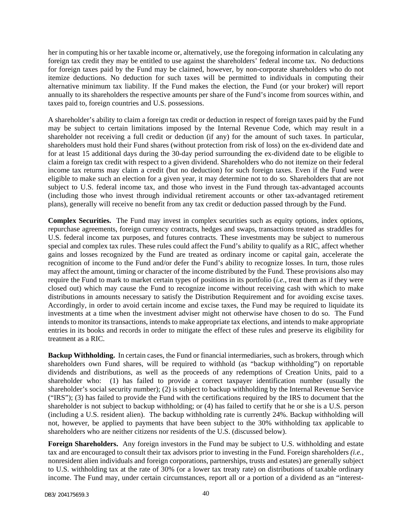her in computing his or her taxable income or, alternatively, use the foregoing information in calculating any foreign tax credit they may be entitled to use against the shareholders' federal income tax. No deductions for foreign taxes paid by the Fund may be claimed, however, by non-corporate shareholders who do not itemize deductions. No deduction for such taxes will be permitted to individuals in computing their alternative minimum tax liability. If the Fund makes the election, the Fund (or your broker) will report annually to its shareholders the respective amounts per share of the Fund's income from sources within, and taxes paid to, foreign countries and U.S. possessions.

A shareholder's ability to claim a foreign tax credit or deduction in respect of foreign taxes paid by the Fund may be subject to certain limitations imposed by the Internal Revenue Code, which may result in a shareholder not receiving a full credit or deduction (if any) for the amount of such taxes. In particular, shareholders must hold their Fund shares (without protection from risk of loss) on the ex-dividend date and for at least 15 additional days during the 30-day period surrounding the ex-dividend date to be eligible to claim a foreign tax credit with respect to a given dividend. Shareholders who do not itemize on their federal income tax returns may claim a credit (but no deduction) for such foreign taxes. Even if the Fund were eligible to make such an election for a given year, it may determine not to do so. Shareholders that are not subject to U.S. federal income tax, and those who invest in the Fund through tax-advantaged accounts (including those who invest through individual retirement accounts or other tax-advantaged retirement plans), generally will receive no benefit from any tax credit or deduction passed through by the Fund.

**Complex Securities.** The Fund may invest in complex securities such as equity options, index options, repurchase agreements, foreign currency contracts, hedges and swaps, transactions treated as straddles for U.S. federal income tax purposes, and futures contracts. These investments may be subject to numerous special and complex tax rules. These rules could affect the Fund's ability to qualify as a RIC, affect whether gains and losses recognized by the Fund are treated as ordinary income or capital gain, accelerate the recognition of income to the Fund and/or defer the Fund's ability to recognize losses. In turn, those rules may affect the amount, timing or character of the income distributed by the Fund. These provisions also may require the Fund to mark to market certain types of positions in its portfolio (*i.e.*, treat them as if they were closed out) which may cause the Fund to recognize income without receiving cash with which to make distributions in amounts necessary to satisfy the Distribution Requirement and for avoiding excise taxes. Accordingly, in order to avoid certain income and excise taxes, the Fund may be required to liquidate its investments at a time when the investment adviser might not otherwise have chosen to do so. The Fund intends to monitor its transactions, intends to make appropriate tax elections, and intends to make appropriate entries in its books and records in order to mitigate the effect of these rules and preserve its eligibility for treatment as a RIC.

**Backup Withholding.** In certain cases, the Fund or financial intermediaries, such as brokers, through which shareholders own Fund shares, will be required to withhold (as "backup withholding") on reportable dividends and distributions, as well as the proceeds of any redemptions of Creation Units, paid to a shareholder who: (1) has failed to provide a correct taxpayer identification number (usually the shareholder's social security number); (2) is subject to backup withholding by the Internal Revenue Service ("IRS"); (3) has failed to provide the Fund with the certifications required by the IRS to document that the shareholder is not subject to backup withholding; or (4) has failed to certify that he or she is a U.S. person (including a U.S. resident alien). The backup withholding rate is currently 24%. Backup withholding will not, however, be applied to payments that have been subject to the 30% withholding tax applicable to shareholders who are neither citizens nor residents of the U.S. (discussed below).

**Foreign Shareholders.** Any foreign investors in the Fund may be subject to U.S. withholding and estate tax and are encouraged to consult their tax advisors prior to investing in the Fund. Foreign shareholders *(i.e.,* nonresident alien individuals and foreign corporations, partnerships, trusts and estates) are generally subject to U.S. withholding tax at the rate of 30% (or a lower tax treaty rate) on distributions of taxable ordinary income. The Fund may, under certain circumstances, report all or a portion of a dividend as an "interest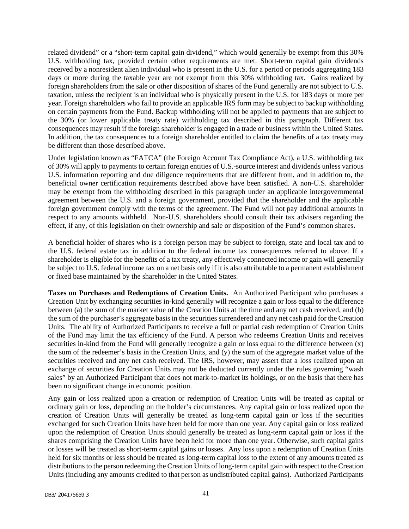related dividend" or a "short-term capital gain dividend," which would generally be exempt from this 30% U.S. withholding tax, provided certain other requirements are met. Short-term capital gain dividends received by a nonresident alien individual who is present in the U.S. for a period or periods aggregating 183 days or more during the taxable year are not exempt from this 30% withholding tax. Gains realized by foreign shareholders from the sale or other disposition of shares of the Fund generally are not subject to U.S. taxation, unless the recipient is an individual who is physically present in the U.S. for 183 days or more per year. Foreign shareholders who fail to provide an applicable IRS form may be subject to backup withholding on certain payments from the Fund. Backup withholding will not be applied to payments that are subject to the 30% (or lower applicable treaty rate) withholding tax described in this paragraph. Different tax consequences may result if the foreign shareholder is engaged in a trade or business within the United States. In addition, the tax consequences to a foreign shareholder entitled to claim the benefits of a tax treaty may be different than those described above.

Under legislation known as "FATCA" (the Foreign Account Tax Compliance Act), a U.S. withholding tax of 30% will apply to payments to certain foreign entities of U.S.-source interest and dividends unless various U.S. information reporting and due diligence requirements that are different from, and in addition to, the beneficial owner certification requirements described above have been satisfied. A non-U.S. shareholder may be exempt from the withholding described in this paragraph under an applicable intergovernmental agreement between the U.S. and a foreign government, provided that the shareholder and the applicable foreign government comply with the terms of the agreement. The Fund will not pay additional amounts in respect to any amounts withheld. Non-U.S. shareholders should consult their tax advisers regarding the effect, if any, of this legislation on their ownership and sale or disposition of the Fund's common shares.

A beneficial holder of shares who is a foreign person may be subject to foreign, state and local tax and to the U.S. federal estate tax in addition to the federal income tax consequences referred to above. If a shareholder is eligible for the benefits of a tax treaty, any effectively connected income or gain will generally be subject to U.S. federal income tax on a net basis only if it is also attributable to a permanent establishment or fixed base maintained by the shareholder in the United States.

**Taxes on Purchases and Redemptions of Creation Units.** An Authorized Participant who purchases a Creation Unit by exchanging securities in-kind generally will recognize a gain or loss equal to the difference between (a) the sum of the market value of the Creation Units at the time and any net cash received, and (b) the sum of the purchaser's aggregate basis in the securities surrendered and any net cash paid for the Creation Units. The ability of Authorized Participants to receive a full or partial cash redemption of Creation Units of the Fund may limit the tax efficiency of the Fund. A person who redeems Creation Units and receives securities in-kind from the Fund will generally recognize a gain or loss equal to the difference between (x) the sum of the redeemer's basis in the Creation Units, and (y) the sum of the aggregate market value of the securities received and any net cash received. The IRS, however, may assert that a loss realized upon an exchange of securities for Creation Units may not be deducted currently under the rules governing "wash sales" by an Authorized Participant that does not mark-to-market its holdings, or on the basis that there has been no significant change in economic position.

Any gain or loss realized upon a creation or redemption of Creation Units will be treated as capital or ordinary gain or loss, depending on the holder's circumstances. Any capital gain or loss realized upon the creation of Creation Units will generally be treated as long-term capital gain or loss if the securities exchanged for such Creation Units have been held for more than one year. Any capital gain or loss realized upon the redemption of Creation Units should generally be treated as long-term capital gain or loss if the shares comprising the Creation Units have been held for more than one year. Otherwise, such capital gains or losses will be treated as short-term capital gains or losses. Any loss upon a redemption of Creation Units held for six months or less should be treated as long-term capital loss to the extent of any amounts treated as distributions to the person redeeming the Creation Units of long-term capital gain with respect to the Creation Units (including any amounts credited to that person as undistributed capital gains). Authorized Participants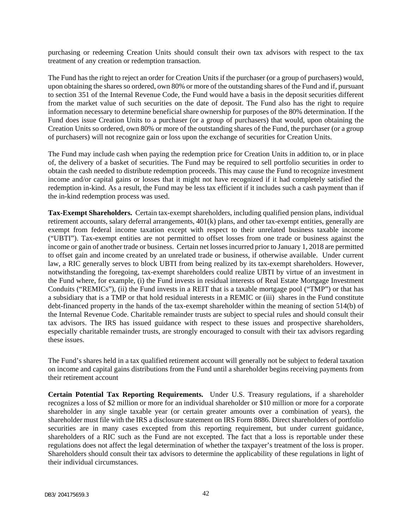purchasing or redeeming Creation Units should consult their own tax advisors with respect to the tax treatment of any creation or redemption transaction.

The Fund has the right to reject an order for Creation Units if the purchaser (or a group of purchasers) would, upon obtaining the shares so ordered, own 80% or more of the outstanding shares of the Fund and if, pursuant to section 351 of the Internal Revenue Code, the Fund would have a basis in the deposit securities different from the market value of such securities on the date of deposit. The Fund also has the right to require information necessary to determine beneficial share ownership for purposes of the 80% determination. If the Fund does issue Creation Units to a purchaser (or a group of purchasers) that would, upon obtaining the Creation Units so ordered, own 80% or more of the outstanding shares of the Fund, the purchaser (or a group of purchasers) will not recognize gain or loss upon the exchange of securities for Creation Units.

The Fund may include cash when paying the redemption price for Creation Units in addition to, or in place of, the delivery of a basket of securities. The Fund may be required to sell portfolio securities in order to obtain the cash needed to distribute redemption proceeds. This may cause the Fund to recognize investment income and/or capital gains or losses that it might not have recognized if it had completely satisfied the redemption in-kind. As a result, the Fund may be less tax efficient if it includes such a cash payment than if the in-kind redemption process was used.

**Tax-Exempt Shareholders.** Certain tax-exempt shareholders, including qualified pension plans, individual retirement accounts, salary deferral arrangements, 401(k) plans, and other tax-exempt entities, generally are exempt from federal income taxation except with respect to their unrelated business taxable income ("UBTI"). Tax-exempt entities are not permitted to offset losses from one trade or business against the income or gain of another trade or business. Certain net losses incurred prior to January 1, 2018 are permitted to offset gain and income created by an unrelated trade or business, if otherwise available. Under current law, a RIC generally serves to block UBTI from being realized by its tax-exempt shareholders. However, notwithstanding the foregoing, tax-exempt shareholders could realize UBTI by virtue of an investment in the Fund where, for example, (i) the Fund invests in residual interests of Real Estate Mortgage Investment Conduits ("REMICs"), (ii) the Fund invests in a REIT that is a taxable mortgage pool ("TMP") or that has a subsidiary that is a TMP or that hold residual interests in a REMIC or (iii) shares in the Fund constitute debt-financed property in the hands of the tax-exempt shareholder within the meaning of section 514(b) of the Internal Revenue Code. Charitable remainder trusts are subject to special rules and should consult their tax advisors. The IRS has issued guidance with respect to these issues and prospective shareholders, especially charitable remainder trusts, are strongly encouraged to consult with their tax advisors regarding these issues.

The Fund's shares held in a tax qualified retirement account will generally not be subject to federal taxation on income and capital gains distributions from the Fund until a shareholder begins receiving payments from their retirement account

**Certain Potential Tax Reporting Requirements.** Under U.S. Treasury regulations, if a shareholder recognizes a loss of \$2 million or more for an individual shareholder or \$10 million or more for a corporate shareholder in any single taxable year (or certain greater amounts over a combination of years), the shareholder must file with the IRS a disclosure statement on IRS Form 8886. Direct shareholders of portfolio securities are in many cases excepted from this reporting requirement, but under current guidance, shareholders of a RIC such as the Fund are not excepted. The fact that a loss is reportable under these regulations does not affect the legal determination of whether the taxpayer's treatment of the loss is proper. Shareholders should consult their tax advisors to determine the applicability of these regulations in light of their individual circumstances.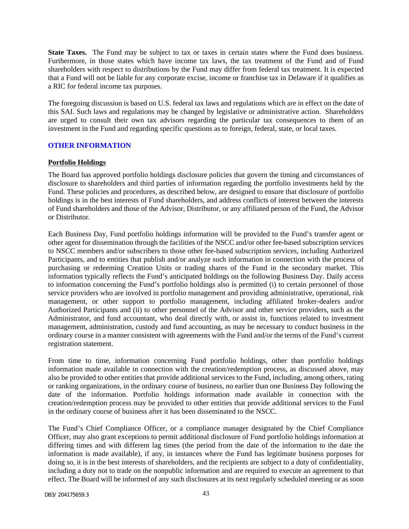**State Taxes.** The Fund may be subject to tax or taxes in certain states where the Fund does business. Furthermore, in those states which have income tax laws, the tax treatment of the Fund and of Fund shareholders with respect to distributions by the Fund may differ from federal tax treatment. It is expected that a Fund will not be liable for any corporate excise, income or franchise tax in Delaware if it qualifies as a RIC for federal income tax purposes.

The foregoing discussion is based on U.S. federal tax laws and regulations which are in effect on the date of this SAI. Such laws and regulations may be changed by legislative or administrative action. Shareholders are urged to consult their own tax advisors regarding the particular tax consequences to them of an investment in the Fund and regarding specific questions as to foreign, federal, state, or local taxes.

### <span id="page-44-0"></span>**OTHER INFORMATION**

#### **Portfolio Holdings**

The Board has approved portfolio holdings disclosure policies that govern the timing and circumstances of disclosure to shareholders and third parties of information regarding the portfolio investments held by the Fund. These policies and procedures, as described below, are designed to ensure that disclosure of portfolio holdings is in the best interests of Fund shareholders, and address conflicts of interest between the interests of Fund shareholders and those of the Advisor, Distributor, or any affiliated person of the Fund, the Advisor or Distributor.

Each Business Day, Fund portfolio holdings information will be provided to the Fund's transfer agent or other agent for dissemination through the facilities of the NSCC and/or other fee-based subscription services to NSCC members and/or subscribers to those other fee-based subscription services, including Authorized Participants, and to entities that publish and/or analyze such information in connection with the process of purchasing or redeeming Creation Units or trading shares of the Fund in the secondary market. This information typically reflects the Fund's anticipated holdings on the following Business Day. Daily access to information concerning the Fund's portfolio holdings also is permitted (i) to certain personnel of those service providers who are involved in portfolio management and providing administrative, operational, risk management, or other support to portfolio management, including affiliated broker-dealers and/or Authorized Participants and (ii) to other personnel of the Advisor and other service providers, such as the Administrator, and fund accountant, who deal directly with, or assist in, functions related to investment management, administration, custody and fund accounting, as may be necessary to conduct business in the ordinary course in a manner consistent with agreements with the Fund and/or the terms of the Fund's current registration statement.

From time to time, information concerning Fund portfolio holdings, other than portfolio holdings information made available in connection with the creation/redemption process, as discussed above, may also be provided to other entities that provide additional services to the Fund, including, among others, rating or ranking organizations, in the ordinary course of business, no earlier than one Business Day following the date of the information. Portfolio holdings information made available in connection with the creation/redemption process may be provided to other entities that provide additional services to the Fund in the ordinary course of business after it has been disseminated to the NSCC.

The Fund's Chief Compliance Officer, or a compliance manager designated by the Chief Compliance Officer, may also grant exceptions to permit additional disclosure of Fund portfolio holdings information at differing times and with different lag times (the period from the date of the information to the date the information is made available), if any, in instances where the Fund has legitimate business purposes for doing so, it is in the best interests of shareholders, and the recipients are subject to a duty of confidentiality, including a duty not to trade on the nonpublic information and are required to execute an agreement to that effect. The Board will be informed of any such disclosures at its next regularly scheduled meeting or as soon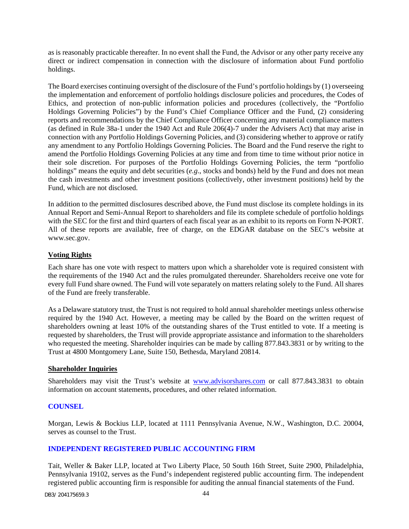as is reasonably practicable thereafter. In no event shall the Fund, the Advisor or any other party receive any direct or indirect compensation in connection with the disclosure of information about Fund portfolio holdings.

The Board exercises continuing oversight of the disclosure of the Fund's portfolio holdings by (1) overseeing the implementation and enforcement of portfolio holdings disclosure policies and procedures, the Codes of Ethics, and protection of non-public information policies and procedures (collectively, the "Portfolio Holdings Governing Policies") by the Fund's Chief Compliance Officer and the Fund, (2) considering reports and recommendations by the Chief Compliance Officer concerning any material compliance matters (as defined in Rule 38a-1 under the 1940 Act and Rule 206(4)-7 under the Advisers Act) that may arise in connection with any Portfolio Holdings Governing Policies, and (3) considering whether to approve or ratify any amendment to any Portfolio Holdings Governing Policies. The Board and the Fund reserve the right to amend the Portfolio Holdings Governing Policies at any time and from time to time without prior notice in their sole discretion. For purposes of the Portfolio Holdings Governing Policies, the term "portfolio holdings" means the equity and debt securities (*e.g.*, stocks and bonds) held by the Fund and does not mean the cash investments and other investment positions (collectively, other investment positions) held by the Fund, which are not disclosed.

In addition to the permitted disclosures described above, the Fund must disclose its complete holdings in its Annual Report and Semi-Annual Report to shareholders and file its complete schedule of portfolio holdings with the SEC for the first and third quarters of each fiscal year as an exhibit to its reports on Form N-PORT. All of these reports are available, free of charge, on the EDGAR database on the SEC's website at www.sec.gov.

# **Voting Rights**

Each share has one vote with respect to matters upon which a shareholder vote is required consistent with the requirements of the 1940 Act and the rules promulgated thereunder. Shareholders receive one vote for every full Fund share owned. The Fund will vote separately on matters relating solely to the Fund. All shares of the Fund are freely transferable.

As a Delaware statutory trust, the Trust is not required to hold annual shareholder meetings unless otherwise required by the 1940 Act. However, a meeting may be called by the Board on the written request of shareholders owning at least 10% of the outstanding shares of the Trust entitled to vote. If a meeting is requested by shareholders, the Trust will provide appropriate assistance and information to the shareholders who requested the meeting. Shareholder inquiries can be made by calling 877.843.3831 or by writing to the Trust at 4800 Montgomery Lane, Suite 150, Bethesda, Maryland 20814.

### **Shareholder Inquiries**

Shareholders may visit the Trust's website at www.advisorshares.com or call 877.843.3831 to obtain information on account statements, procedures, and other related information.

### <span id="page-45-0"></span>**COUNSEL**

Morgan, Lewis & Bockius LLP, located at 1111 Pennsylvania Avenue, N.W., Washington, D.C. 20004, serves as counsel to the Trust.

### <span id="page-45-1"></span>**INDEPENDENT REGISTERED PUBLIC ACCOUNTING FIRM**

Tait, Weller & Baker LLP, located at Two Liberty Place, 50 South 16th Street, Suite 2900, Philadelphia, Pennsylvania 19102, serves as the Fund's independent registered public accounting firm. The independent registered public accounting firm is responsible for auditing the annual financial statements of the Fund.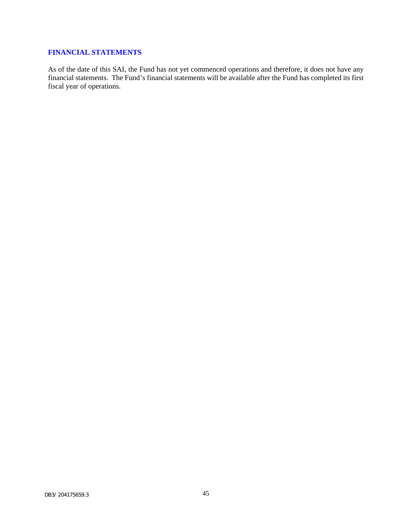# <span id="page-46-0"></span>**FINANCIAL STATEMENTS**

As of the date of this SAI, the Fund has not yet commenced operations and therefore, it does not have any financial statements. The Fund's financial statements will be available after the Fund has completed its first fiscal year of operations.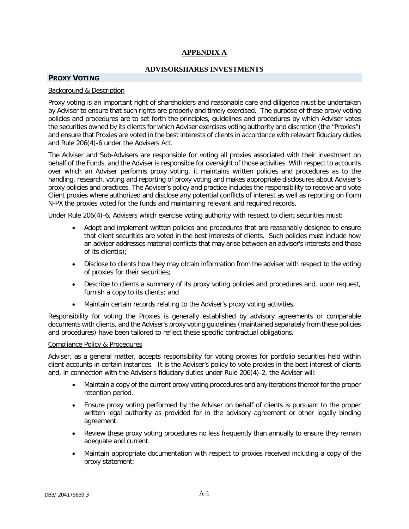# **APPENDIX A**

#### **ADVISORSHARES INVESTMENTS**

#### <span id="page-47-0"></span>**PROXY VOTING**

#### Background & Description

Proxy voting is an important right of shareholders and reasonable care and diligence must be undertaken by Adviser to ensure that such rights are properly and timely exercised. The purpose of these proxy voting policies and procedures are to set forth the principles, guidelines and procedures by which Adviser votes the securities owned by its clients for which Adviser exercises voting authority and discretion (the "Proxies") and ensure that Proxies are voted in the best interests of clients in accordance with relevant fiduciary duties and Rule 206(4)-6 under the Advisers Act.

The Adviser and Sub-Advisers are responsible for voting all proxies associated with their investment on behalf of the Funds, and the Adviser is responsible for oversight of those activities. With respect to accounts over which an Adviser performs proxy voting, it maintains written policies and procedures as to the handling, research, voting and reporting of proxy voting and makes appropriate disclosures about Adviser's proxy policies and practices. The Adviser's policy and practice includes the responsibility to receive and vote Client proxies where authorized and disclose any potential conflicts of interest as well as reporting on Form N-PX the proxies voted for the funds and maintaining relevant and required records.

Under Rule 206(4)-6, Advisers which exercise voting authority with respect to client securities must:

- Adopt and implement written policies and procedures that are reasonably designed to ensure that client securities are voted in the best interests of clients. Such policies must include how an adviser addresses material conflicts that may arise between an adviser's interests and those of its client(s);
- Disclose to clients how they may obtain information from the adviser with respect to the voting of proxies for their securities;
- Describe to clients a summary of its proxy voting policies and procedures and, upon request, furnish a copy to its clients; and
- Maintain certain records relating to the Adviser's proxy voting activities.

Responsibility for voting the Proxies is generally established by advisory agreements or comparable documents with clients, and the Adviser's proxy voting guidelines (maintained separately from these policies and procedures) have been tailored to reflect these specific contractual obligations.

#### Compliance Policy & Procedures

Adviser, as a general matter, accepts responsibility for voting proxies for portfolio securities held within client accounts in certain instances. It is the Adviser's policy to vote proxies in the best interest of clients and, in connection with the Adviser's fiduciary duties under Rule 206(4)-2, the Adviser will:

- Maintain a copy of the current proxy voting procedures and any iterations thereof for the proper retention period.
- Ensure proxy voting performed by the Adviser on behalf of clients is pursuant to the proper written legal authority as provided for in the advisory agreement or other legally binding agreement.
- Review these proxy voting procedures no less frequently than annually to ensure they remain adequate and current.
- Maintain appropriate documentation with respect to proxies received including a copy of the proxy statement;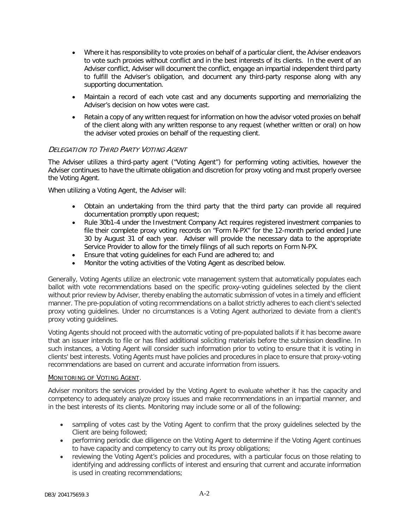- Where it has responsibility to vote proxies on behalf of a particular client, the Adviser endeavors to vote such proxies without conflict and in the best interests of its clients. In the event of an Adviser conflict, Adviser will document the conflict, engage an impartial independent third party to fulfill the Adviser's obligation, and document any third-party response along with any supporting documentation.
- Maintain a record of each vote cast and any documents supporting and memorializing the Adviser's decision on how votes were cast.
- Retain a copy of any written request for information on how the advisor voted proxies on behalf of the client along with any written response to any request (whether written or oral) on how the adviser voted proxies on behalf of the requesting client.

# DELEGATION TO THIRD PARTY VOTING AGENT

The Adviser utilizes a third-party agent ("Voting Agent") for performing voting activities, however the Adviser continues to have the ultimate obligation and discretion for proxy voting and must properly oversee the Voting Agent.

When utilizing a Voting Agent, the Adviser will:

- Obtain an undertaking from the third party that the third party can provide all required documentation promptly upon request;
- Rule 30b1-4 under the Investment Company Act requires registered investment companies to file their complete proxy voting records on "Form N-PX" for the 12-month period ended June 30 by August 31 of each year. Adviser will provide the necessary data to the appropriate Service Provider to allow for the timely filings of all such reports on Form N-PX.
- Ensure that voting guidelines for each Fund are adhered to; and
- Monitor the voting activities of the Voting Agent as described below.

Generally, Voting Agents utilize an electronic vote management system that automatically populates each ballot with vote recommendations based on the specific proxy-voting guidelines selected by the client without prior review by Adviser, thereby enabling the automatic submission of votes in a timely and efficient manner. The pre-population of voting recommendations on a ballot strictly adheres to each client's selected proxy voting guidelines. Under no circumstances is a Voting Agent authorized to deviate from a client's proxy voting guidelines.

Voting Agents should not proceed with the automatic voting of pre-populated ballots if it has become aware that an issuer intends to file or has filed additional soliciting materials before the submission deadline. In such instances, a Voting Agent will consider such information prior to voting to ensure that it is voting in clients' best interests. Voting Agents must have policies and procedures in place to ensure that proxy-voting recommendations are based on current and accurate information from issuers.

#### MONITORING OF VOTING AGENT.

Adviser monitors the services provided by the Voting Agent to evaluate whether it has the capacity and competency to adequately analyze proxy issues and make recommendations in an impartial manner, and in the best interests of its clients. Monitoring may include some or all of the following:

- sampling of votes cast by the Voting Agent to confirm that the proxy guidelines selected by the Client are being followed;
- performing periodic due diligence on the Voting Agent to determine if the Voting Agent continues to have capacity and competency to carry out its proxy obligations;
- reviewing the Voting Agent's policies and procedures, with a particular focus on those relating to identifying and addressing conflicts of interest and ensuring that current and accurate information is used in creating recommendations;